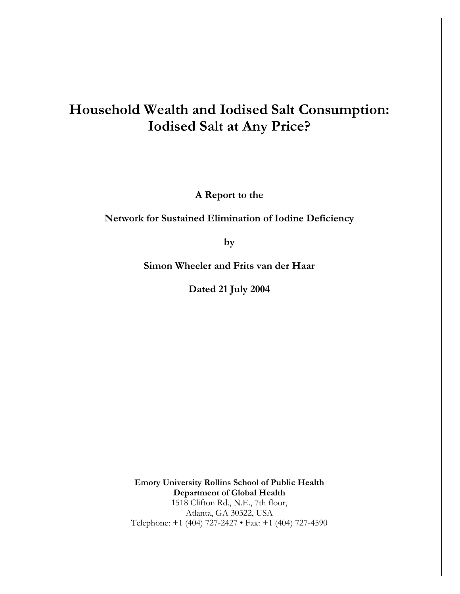# Household Wealth and Iodised Salt Consumption: **Iodised Salt at Any Price?**

A Report to the

Network for Sustained Elimination of Iodine Deficiency

by

Simon Wheeler and Frits van der Haar

Dated 21 July 2004

**Emory University Rollins School of Public Health** Department of Global Health 1518 Clifton Rd., N.E., 7th floor, Atlanta, GA 30322, USA Telephone: +1 (404) 727-2427 • Fax: +1 (404) 727-4590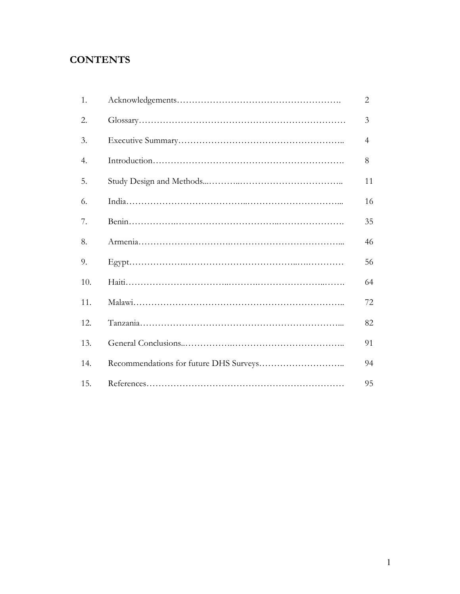## **CONTENTS**

| 1.  | 2              |
|-----|----------------|
| 2.  | 3              |
| 3.  | $\overline{4}$ |
| 4.  | 8              |
| 5.  | 11             |
| 6.  | 16             |
| 7.  | 35             |
| 8.  | 46             |
| 9.  | 56             |
| 10. | 64             |
| 11. | 72             |
| 12. | 82             |
| 13. | 91             |
| 14. | 94             |
| 15. | 95             |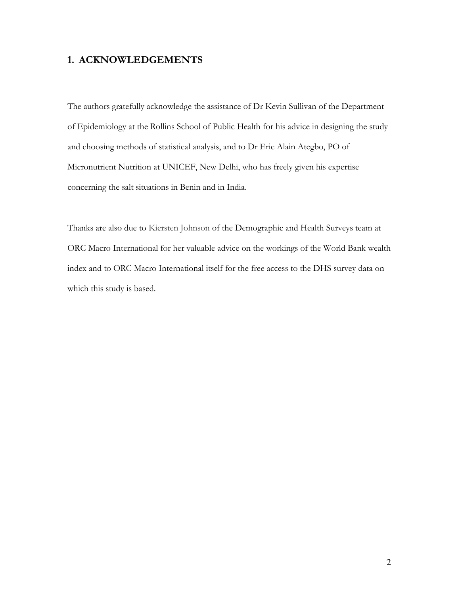## 1. ACKNOWLEDGEMENTS

The authors gratefully acknowledge the assistance of Dr Kevin Sullivan of the Department of Epidemiology at the Rollins School of Public Health for his advice in designing the study and choosing methods of statistical analysis, and to Dr Eric Alain Ategbo, PO of Micronutrient Nutrition at UNICEF, New Delhi, who has freely given his expertise concerning the salt situations in Benin and in India.

Thanks are also due to Kiersten Johnson of the Demographic and Health Surveys team at ORC Macro International for her valuable advice on the workings of the World Bank wealth index and to ORC Macro International itself for the free access to the DHS survey data on which this study is based.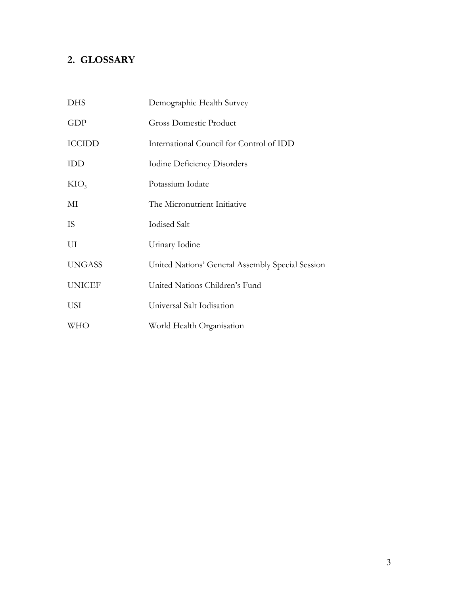## 2. GLOSSARY

| <b>DHS</b>       | Demographic Health Survey                        |
|------------------|--------------------------------------------------|
| GDP              | <b>Gross Domestic Product</b>                    |
| <b>ICCIDD</b>    | International Council for Control of IDD         |
| <b>IDD</b>       | <b>Iodine Deficiency Disorders</b>               |
| KIO <sub>3</sub> | Potassium Iodate                                 |
| МI               | The Micronutrient Initiative                     |
| <b>IS</b>        | <b>Iodised Salt</b>                              |
| UI               | Urinary Iodine                                   |
| <b>UNGASS</b>    | United Nations' General Assembly Special Session |
| <b>UNICEF</b>    | United Nations Children's Fund                   |
| USI              | Universal Salt Iodisation                        |
| <b>WHO</b>       | World Health Organisation                        |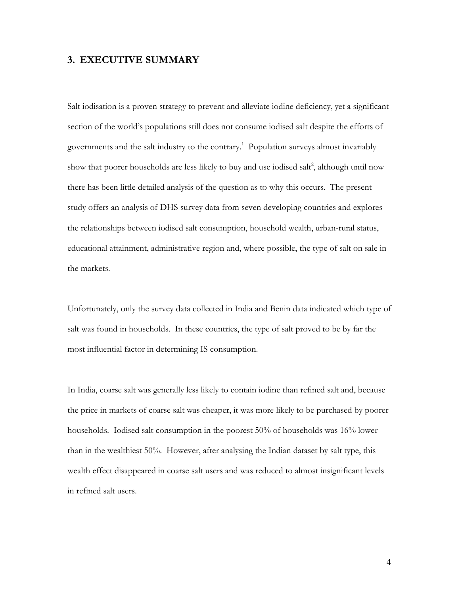## 3. EXECUTIVE SUMMARY

Salt iodisation is a proven strategy to prevent and alleviate iodine deficiency, yet a significant section of the world's populations still does not consume iodised salt despite the efforts of governments and the salt industry to the contrary.<sup>1</sup> Population surveys almost invariably show that poorer households are less likely to buy and use iodised salt<sup>2</sup>, although until now there has been little detailed analysis of the question as to why this occurs. The present study offers an analysis of DHS survey data from seven developing countries and explores the relationships between iodised salt consumption, household wealth, urban-rural status, educational attainment, administrative region and, where possible, the type of salt on sale in the markets.

Unfortunately, only the survey data collected in India and Benin data indicated which type of salt was found in households. In these countries, the type of salt proved to be by far the most influential factor in determining IS consumption.

In India, coarse salt was generally less likely to contain iodine than refined salt and, because the price in markets of coarse salt was cheaper, it was more likely to be purchased by poorer households. Iodised salt consumption in the poorest 50% of households was 16% lower than in the wealthiest 50%. However, after analysing the Indian dataset by salt type, this wealth effect disappeared in coarse salt users and was reduced to almost insignificant levels in refined salt users.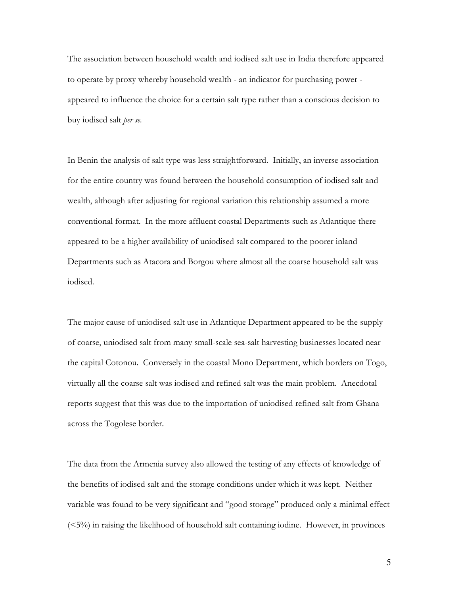The association between household wealth and iodised salt use in India therefore appeared to operate by proxy whereby household wealth - an indicator for purchasing power appeared to influence the choice for a certain salt type rather than a conscious decision to buy iodised salt per se.

In Benin the analysis of salt type was less straightforward. Initially, an inverse association for the entire country was found between the household consumption of iodised salt and wealth, although after adjusting for regional variation this relationship assumed a more conventional format. In the more affluent coastal Departments such as Atlantique there appeared to be a higher availability of uniodised salt compared to the poorer inland Departments such as Atacora and Borgou where almost all the coarse household salt was iodised.

The major cause of uniodised salt use in Atlantique Department appeared to be the supply of coarse, uniodised salt from many small-scale sea-salt harvesting businesses located near the capital Cotonou. Conversely in the coastal Mono Department, which borders on Togo, virtually all the coarse salt was iodised and refined salt was the main problem. Anecdotal reports suggest that this was due to the importation of uniodised refined salt from Ghana across the Togolese border.

The data from the Armenia survey also allowed the testing of any effects of knowledge of the benefits of iodised salt and the storage conditions under which it was kept. Neither variable was found to be very significant and "good storage" produced only a minimal effect  $(**5%**)$  in raising the likelihood of household salt containing iodine. However, in provinces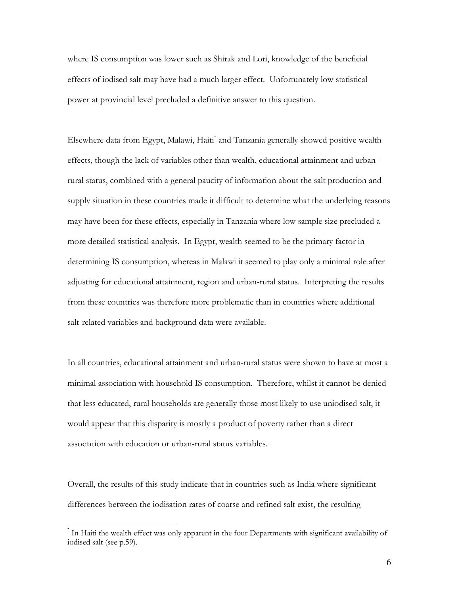where IS consumption was lower such as Shirak and Lori, knowledge of the beneficial effects of iodised salt may have had a much larger effect. Unfortunately low statistical power at provincial level precluded a definitive answer to this question.

Elsewhere data from Egypt, Malawi, Haiti\* and Tanzania generally showed positive wealth effects, though the lack of variables other than wealth, educational attainment and urbanrural status, combined with a general paucity of information about the salt production and supply situation in these countries made it difficult to determine what the underlying reasons may have been for these effects, especially in Tanzania where low sample size precluded a more detailed statistical analysis. In Egypt, wealth seemed to be the primary factor in determining IS consumption, whereas in Malawi it seemed to play only a minimal role after adjusting for educational attainment, region and urban-rural status. Interpreting the results from these countries was therefore more problematic than in countries where additional salt-related variables and background data were available.

In all countries, educational attainment and urban-rural status were shown to have at most a minimal association with household IS consumption. Therefore, whilst it cannot be denied that less educated, rural households are generally those most likely to use uniodised salt, it would appear that this disparity is mostly a product of poverty rather than a direct association with education or urban-rural status variables.

Overall, the results of this study indicate that in countries such as India where significant differences between the iodisation rates of coarse and refined salt exist, the resulting

In Haiti the wealth effect was only apparent in the four Departments with significant availability of iodised salt (see p.59).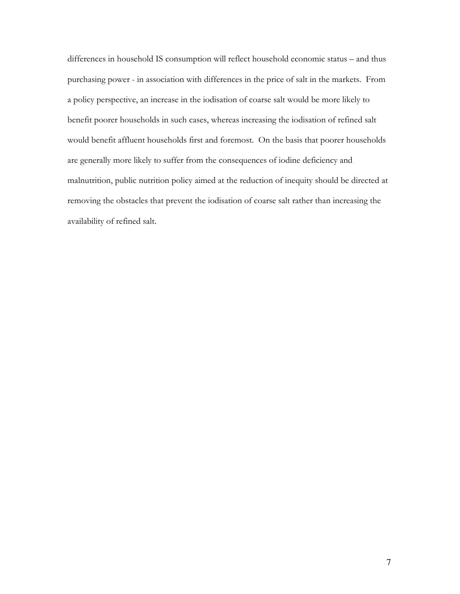differences in household IS consumption will reflect household economic status - and thus purchasing power - in association with differences in the price of salt in the markets. From a policy perspective, an increase in the iodisation of coarse salt would be more likely to benefit poorer households in such cases, whereas increasing the iodisation of refined salt would benefit affluent households first and foremost. On the basis that poorer households are generally more likely to suffer from the consequences of iodine deficiency and malnutrition, public nutrition policy aimed at the reduction of inequity should be directed at removing the obstacles that prevent the iodisation of coarse salt rather than increasing the availability of refined salt.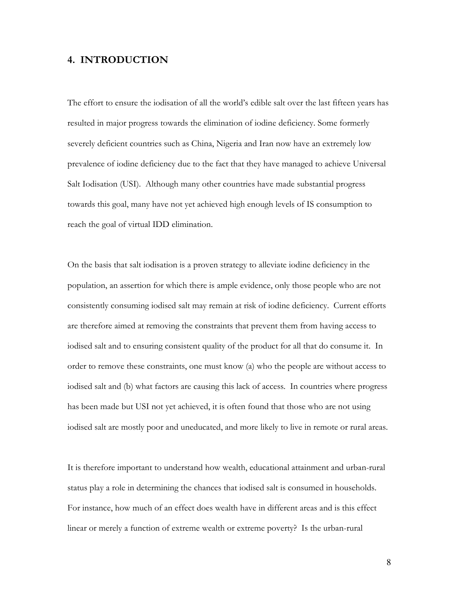## 4. INTRODUCTION

The effort to ensure the iodisation of all the world's edible salt over the last fifteen years has resulted in major progress towards the elimination of iodine deficiency. Some formerly severely deficient countries such as China, Nigeria and Iran now have an extremely low prevalence of iodine deficiency due to the fact that they have managed to achieve Universal Salt Iodisation (USI). Although many other countries have made substantial progress towards this goal, many have not yet achieved high enough levels of IS consumption to reach the goal of virtual IDD elimination.

On the basis that salt iodisation is a proven strategy to alleviate iodine deficiency in the population, an assertion for which there is ample evidence, only those people who are not consistently consuming iodised salt may remain at risk of iodine deficiency. Current efforts are therefore aimed at removing the constraints that prevent them from having access to iodised salt and to ensuring consistent quality of the product for all that do consume it. In order to remove these constraints, one must know (a) who the people are without access to iodised salt and (b) what factors are causing this lack of access. In countries where progress has been made but USI not yet achieved, it is often found that those who are not using iodised salt are mostly poor and uneducated, and more likely to live in remote or rural areas.

It is therefore important to understand how wealth, educational attainment and urban-rural status play a role in determining the chances that iodised salt is consumed in households. For instance, how much of an effect does wealth have in different areas and is this effect linear or merely a function of extreme wealth or extreme poverty? Is the urban-rural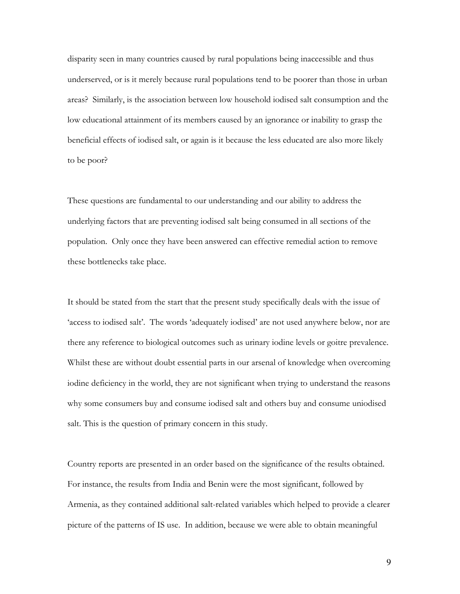disparity seen in many countries caused by rural populations being inaccessible and thus underserved, or is it merely because rural populations tend to be poorer than those in urban areas? Similarly, is the association between low household iodised salt consumption and the low educational attainment of its members caused by an ignorance or inability to grasp the beneficial effects of iodised salt, or again is it because the less educated are also more likely to be poor?

These questions are fundamental to our understanding and our ability to address the underlying factors that are preventing iodised salt being consumed in all sections of the population. Only once they have been answered can effective remedial action to remove these bottlenecks take place.

It should be stated from the start that the present study specifically deals with the issue of 'access to iodised salt'. The words 'adequately iodised' are not used anywhere below, nor are there any reference to biological outcomes such as urinary iodine levels or goitre prevalence. Whilst these are without doubt essential parts in our arsenal of knowledge when overcoming iodine deficiency in the world, they are not significant when trying to understand the reasons why some consumers buy and consume iodised salt and others buy and consume uniodised salt. This is the question of primary concern in this study.

Country reports are presented in an order based on the significance of the results obtained. For instance, the results from India and Benin were the most significant, followed by Armenia, as they contained additional salt-related variables which helped to provide a clearer picture of the patterns of IS use. In addition, because we were able to obtain meaningful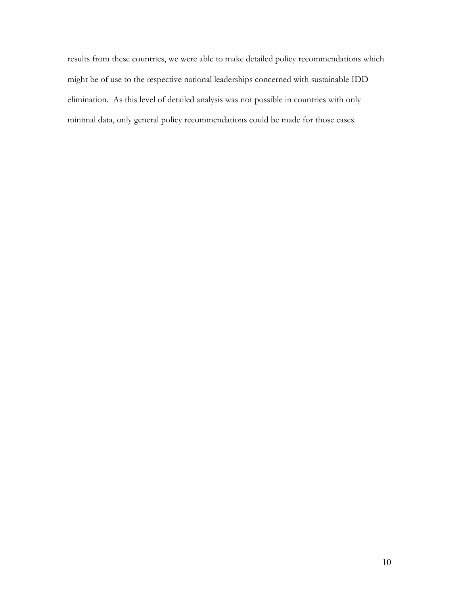results from these countries, we were able to make detailed policy recommendations which might be of use to the respective national leaderships concerned with sustainable IDD elimination. As this level of detailed analysis was not possible in countries with only minimal data, only general policy recommendations could be made for those cases.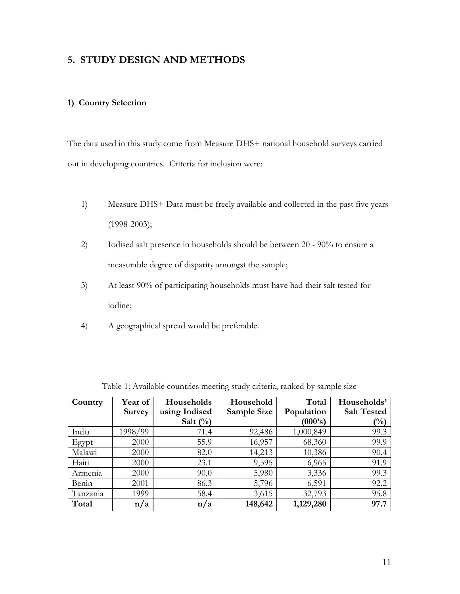## 5. STUDY DESIGN AND METHODS

### 1) Country Selection

The data used in this study come from Measure DHS+ national household surveys carried out in developing countries. Criteria for inclusion were:

- $1)$ Measure DHS+ Data must be freely available and collected in the past five years  $(1998-2003);$
- $2)$ Iodised salt presence in households should be between 20 - 90% to ensure a measurable degree of disparity amongst the sample;
- At least 90% of participating households must have had their salt tested for  $3)$ iodine;
- $4)$ A geographical spread would be preferable.

| Country  | Year of       | Households    | Household   | Total      | Households'        |
|----------|---------------|---------------|-------------|------------|--------------------|
|          | <b>Survey</b> | using Iodised | Sample Size | Population | <b>Salt Tested</b> |
|          |               | Salt $(\%)$   |             | (000's)    | (%)                |
| India    | 1998/99       | 71.4          | 92,486      | 1,000,849  | 99.3               |
| Egypt    | 2000          | 55.9          | 16,957      | 68,360     | 99.9               |
| Malawi   | 2000          | 82.0          | 14,213      | 10,386     | 90.4               |
| Haiti    | 2000          | 23.1          | 9,595       | 6,965      | 91.9               |
| Armenia  | 2000          | 90.0          | 5,980       | 3,336      | 99.3               |
| Benin    | 2001          | 86.3          | 5,796       | 6,591      | 92.2               |
| Tanzania | 1999          | 58.4          | 3,615       | 32,793     | 95.8               |
| Total    | n/a           | n/a           | 148,642     | 1,129,280  | 97.7               |

Table 1: Available countries meeting study criteria, ranked by sample size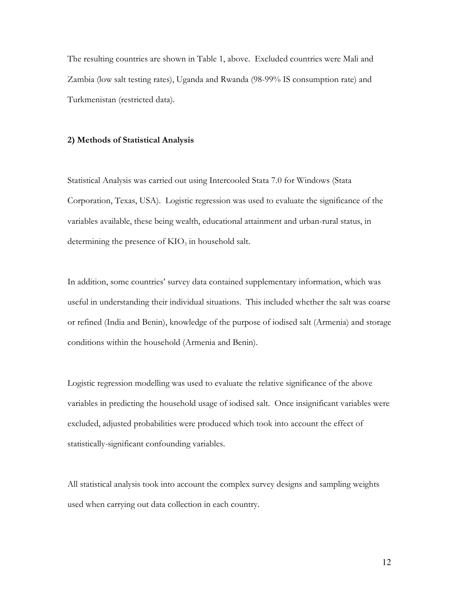The resulting countries are shown in Table 1, above. Excluded countries were Mali and Zambia (low salt testing rates), Uganda and Rwanda (98-99% IS consumption rate) and Turkmenistan (restricted data).

#### 2) Methods of Statistical Analysis

Statistical Analysis was carried out using Intercooled Stata 7.0 for Windows (Stata Corporation, Texas, USA). Logistic regression was used to evaluate the significance of the variables available, these being wealth, educational attainment and urban-rural status, in determining the presence of  $KIO_3$  in household salt.

In addition, some countries' survey data contained supplementary information, which was useful in understanding their individual situations. This included whether the salt was coarse or refined (India and Benin), knowledge of the purpose of iodised salt (Armenia) and storage conditions within the household (Armenia and Benin).

Logistic regression modelling was used to evaluate the relative significance of the above variables in predicting the household usage of iodised salt. Once insignificant variables were excluded, adjusted probabilities were produced which took into account the effect of statistically-significant confounding variables.

All statistical analysis took into account the complex survey designs and sampling weights used when carrying out data collection in each country.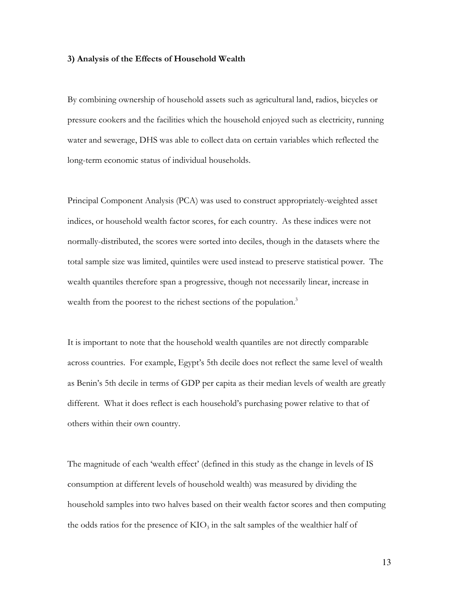#### 3) Analysis of the Effects of Household Wealth

By combining ownership of household assets such as agricultural land, radios, bicycles or pressure cookers and the facilities which the household enjoyed such as electricity, running water and sewerage, DHS was able to collect data on certain variables which reflected the long-term economic status of individual households.

Principal Component Analysis (PCA) was used to construct appropriately-weighted asset indices, or household wealth factor scores, for each country. As these indices were not normally-distributed, the scores were sorted into deciles, though in the datasets where the total sample size was limited, quintiles were used instead to preserve statistical power. The wealth quantiles therefore span a progressive, though not necessarily linear, increase in wealth from the poorest to the richest sections of the population.<sup>3</sup>

It is important to note that the household wealth quantiles are not directly comparable across countries. For example, Egypt's 5th decile does not reflect the same level of wealth as Benin's 5th decile in terms of GDP per capita as their median levels of wealth are greatly different. What it does reflect is each household's purchasing power relative to that of others within their own country.

The magnitude of each 'wealth effect' (defined in this study as the change in levels of IS consumption at different levels of household wealth) was measured by dividing the household samples into two halves based on their wealth factor scores and then computing the odds ratios for the presence of  $KIO_3$  in the salt samples of the wealthier half of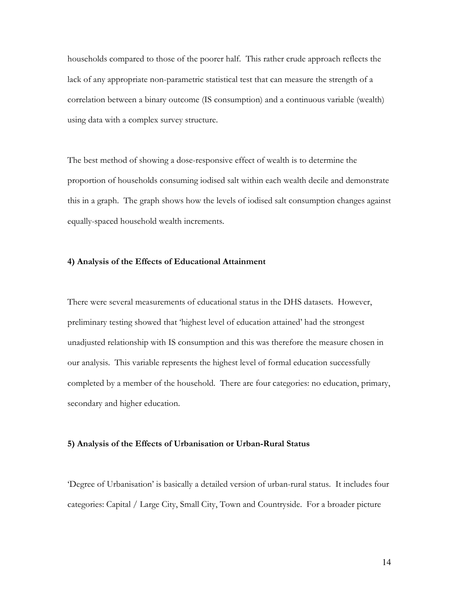households compared to those of the poorer half. This rather crude approach reflects the lack of any appropriate non-parametric statistical test that can measure the strength of a correlation between a binary outcome (IS consumption) and a continuous variable (wealth) using data with a complex survey structure.

The best method of showing a dose-responsive effect of wealth is to determine the proportion of households consuming iodised salt within each wealth decile and demonstrate this in a graph. The graph shows how the levels of iodised salt consumption changes against equally-spaced household wealth increments.

#### 4) Analysis of the Effects of Educational Attainment

There were several measurements of educational status in the DHS datasets. However, preliminary testing showed that 'highest level of education attained' had the strongest unadjusted relationship with IS consumption and this was therefore the measure chosen in our analysis. This variable represents the highest level of formal education successfully completed by a member of the household. There are four categories: no education, primary, secondary and higher education.

#### 5) Analysis of the Effects of Urbanisation or Urban-Rural Status

Degree of Urbanisation' is basically a detailed version of urban-rural status. It includes four categories: Capital / Large City, Small City, Town and Countryside. For a broader picture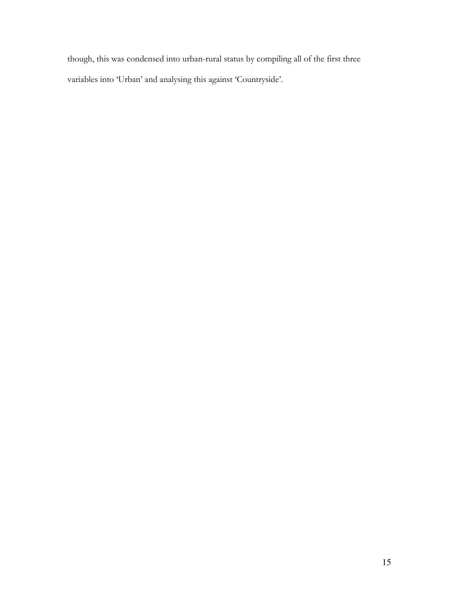though, this was condensed into urban-rural status by compiling all of the first three variables into 'Urban' and analysing this against 'Countryside'.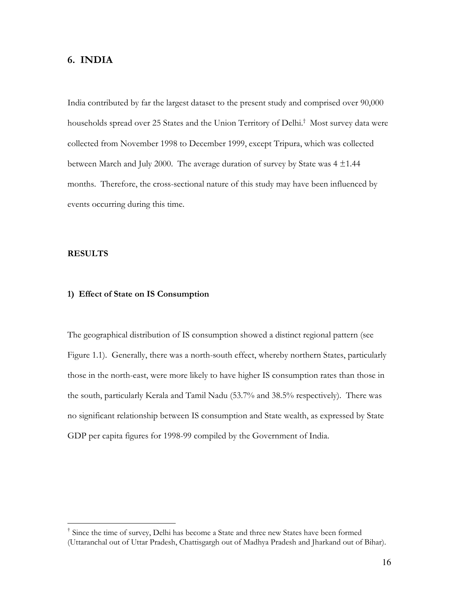## 6. INDIA

India contributed by far the largest dataset to the present study and comprised over 90,000 households spread over 25 States and the Union Territory of Delhi.<sup>†</sup> Most survey data were collected from November 1998 to December 1999, except Tripura, which was collected between March and July 2000. The average duration of survey by State was  $4 \pm 1.44$ months. Therefore, the cross-sectional nature of this study may have been influenced by events occurring during this time.

#### **RESULTS**

### 1) Effect of State on IS Consumption

The geographical distribution of IS consumption showed a distinct regional pattern (see Figure 1.1). Generally, there was a north-south effect, whereby northern States, particularly those in the north-east, were more likely to have higher IS consumption rates than those in the south, particularly Kerala and Tamil Nadu (53.7% and 38.5% respectively). There was no significant relationship between IS consumption and State wealth, as expressed by State GDP per capita figures for 1998-99 compiled by the Government of India.

<sup>&</sup>lt;sup>†</sup> Since the time of survey, Delhi has become a State and three new States have been formed (Uttaranchal out of Uttar Pradesh, Chattisgargh out of Madhya Pradesh and Iharkand out of Bihar).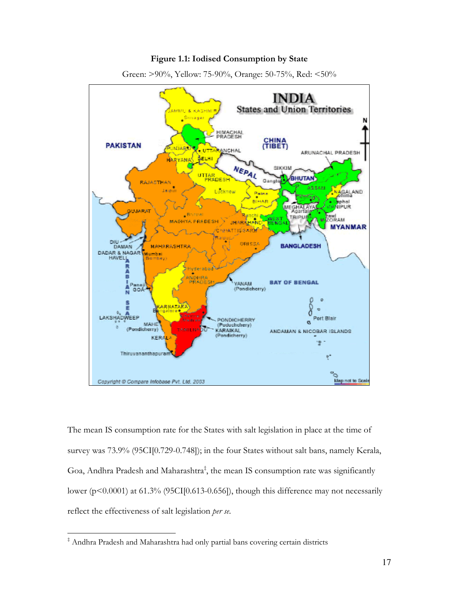#### Figure 1.1: Iodised Consumption by State



Green: >90%, Yellow: 75-90%, Orange: 50-75%, Red: <50%

The mean IS consumption rate for the States with salt legislation in place at the time of survey was 73.9% (95CI[0.729-0.748]); in the four States without salt bans, namely Kerala, Goa, Andhra Pradesh and Maharashtra<sup>‡</sup>, the mean IS consumption rate was significantly lower ( $p<0.0001$ ) at 61.3% (95CI[0.613-0.656]), though this difference may not necessarily reflect the effectiveness of salt legislation per se.

<sup>&</sup>lt;sup>‡</sup> Andhra Pradesh and Maharashtra had only partial bans covering certain districts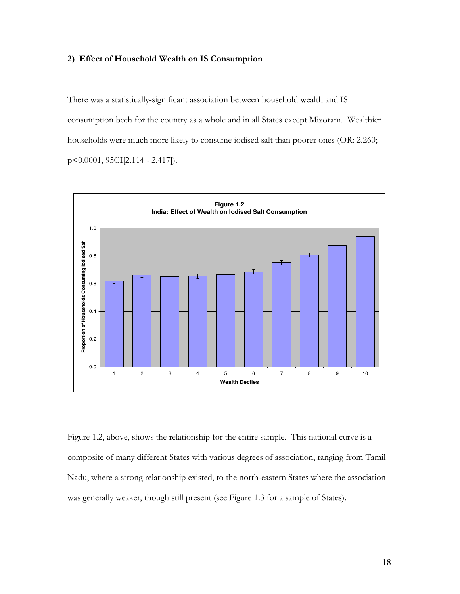#### 2) Effect of Household Wealth on IS Consumption

There was a statistically-significant association between household wealth and IS consumption both for the country as a whole and in all States except Mizoram. Wealthier households were much more likely to consume iodised salt than poorer ones (OR: 2.260;  $p \leq 0.0001$ , 95CI[2.114 - 2.417]).



Figure 1.2, above, shows the relationship for the entire sample. This national curve is a composite of many different States with various degrees of association, ranging from Tamil Nadu, where a strong relationship existed, to the north-eastern States where the association was generally weaker, though still present (see Figure 1.3 for a sample of States).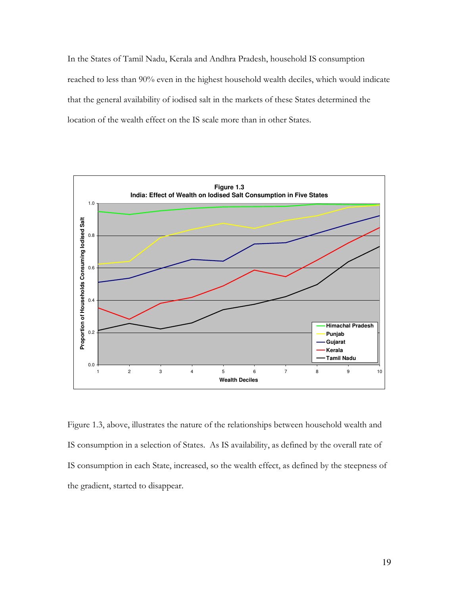In the States of Tamil Nadu, Kerala and Andhra Pradesh, household IS consumption reached to less than 90% even in the highest household wealth deciles, which would indicate that the general availability of iodised salt in the markets of these States determined the location of the wealth effect on the IS scale more than in other States.



Figure 1.3, above, illustrates the nature of the relationships between household wealth and IS consumption in a selection of States. As IS availability, as defined by the overall rate of IS consumption in each State, increased, so the wealth effect, as defined by the steepness of the gradient, started to disappear.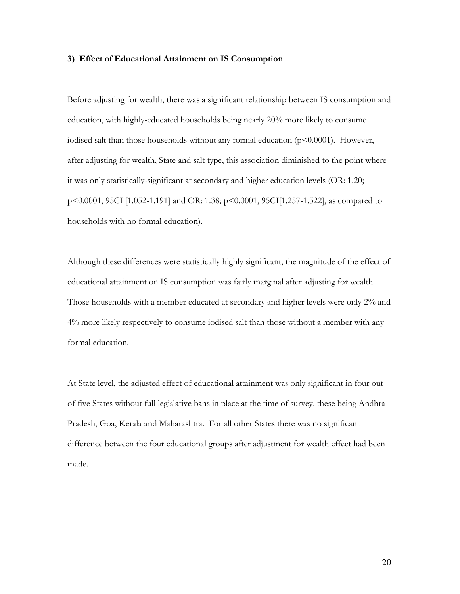#### 3) Effect of Educational Attainment on IS Consumption

Before adjusting for wealth, there was a significant relationship between IS consumption and education, with highly-educated households being nearly 20% more likely to consume iodised salt than those households without any formal education  $(p<0.0001)$ . However, after adjusting for wealth, State and salt type, this association diminished to the point where it was only statistically-significant at secondary and higher education levels (OR: 1.20; p<0.0001, 95CI [1.052-1.191] and OR: 1.38; p<0.0001, 95CI[1.257-1.522], as compared to households with no formal education).

Although these differences were statistically highly significant, the magnitude of the effect of educational attainment on IS consumption was fairly marginal after adjusting for wealth. Those households with a member educated at secondary and higher levels were only 2% and 4% more likely respectively to consume iodised salt than those without a member with any formal education.

At State level, the adjusted effect of educational attainment was only significant in four out of five States without full legislative bans in place at the time of survey, these being Andhra Pradesh, Goa, Kerala and Maharashtra. For all other States there was no significant difference between the four educational groups after adjustment for wealth effect had been made.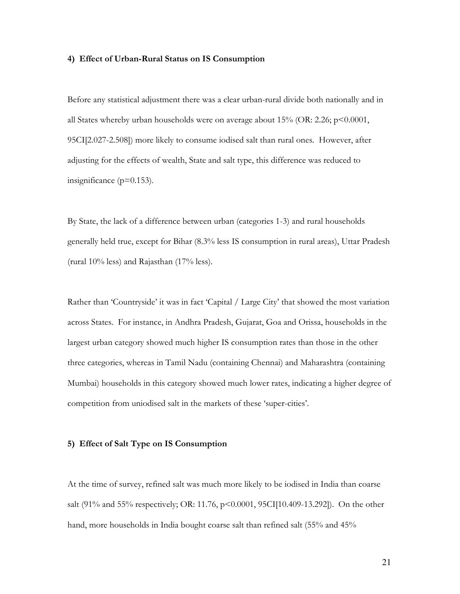#### 4) Effect of Urban-Rural Status on IS Consumption

Before any statistical adjustment there was a clear urban-rural divide both nationally and in all States whereby urban households were on average about  $15\%$  (OR: 2.26; p<0.0001, 95CI[2.027-2.508]) more likely to consume iodised salt than rural ones. However, after adjusting for the effects of wealth, State and salt type, this difference was reduced to insignificance ( $p=0.153$ ).

By State, the lack of a difference between urban (categories 1-3) and rural households generally held true, except for Bihar (8.3% less IS consumption in rural areas), Uttar Pradesh (rural  $10\%$  less) and Rajasthan ( $17\%$  less).

Rather than 'Countryside' it was in fact 'Capital / Large City' that showed the most variation across States. For instance, in Andhra Pradesh, Gujarat, Goa and Orissa, households in the largest urban category showed much higher IS consumption rates than those in the other three categories, whereas in Tamil Nadu (containing Chennai) and Maharashtra (containing Mumbai) households in this category showed much lower rates, indicating a higher degree of competition from uniodised salt in the markets of these 'super-cities'.

#### 5) Effect of Salt Type on IS Consumption

At the time of survey, refined salt was much more likely to be iodised in India than coarse salt (91% and 55% respectively; OR: 11.76, p<0.0001, 95CI[10.409-13.292]). On the other hand, more households in India bought coarse salt than refined salt (55% and 45%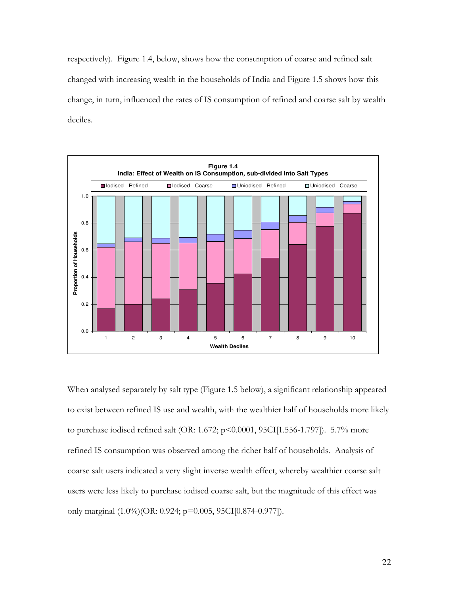respectively). Figure 1.4, below, shows how the consumption of coarse and refined salt changed with increasing wealth in the households of India and Figure 1.5 shows how this change, in turn, influenced the rates of IS consumption of refined and coarse salt by wealth deciles.



When analysed separately by salt type (Figure 1.5 below), a significant relationship appeared to exist between refined IS use and wealth, with the wealthier half of households more likely to purchase iodised refined salt (OR: 1.672; p<0.0001, 95CI[1.556-1.797]). 5.7% more refined IS consumption was observed among the richer half of households. Analysis of coarse salt users indicated a very slight inverse wealth effect, whereby wealthier coarse salt users were less likely to purchase iodised coarse salt, but the magnitude of this effect was only marginal (1.0%)(OR: 0.924; p=0.005, 95CI[0.874-0.977]).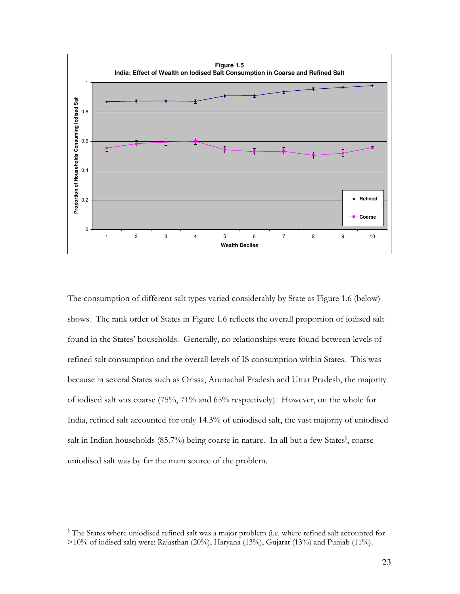

The consumption of different salt types varied considerably by State as Figure 1.6 (below) shows. The rank order of States in Figure 1.6 reflects the overall proportion of iodised salt found in the States' households. Generally, no relationships were found between levels of refined salt consumption and the overall levels of IS consumption within States. This was because in several States such as Orissa, Arunachal Pradesh and Uttar Pradesh, the majority of iodised salt was coarse (75%, 71% and 65% respectively). However, on the whole for India, refined salt accounted for only 14.3% of uniodised salt, the vast majority of uniodised salt in Indian households (85.7%) being coarse in nature. In all but a few States<sup>§</sup>, coarse uniodised salt was by far the main source of the problem.

<sup>&</sup>lt;sup>§</sup> The States where uniodised refined salt was a major problem (i.e. where refined salt accounted for  $>10\%$  of iodised salt) were: Rajasthan (20%), Haryana (13%), Gujarat (13%) and Punjab (11%).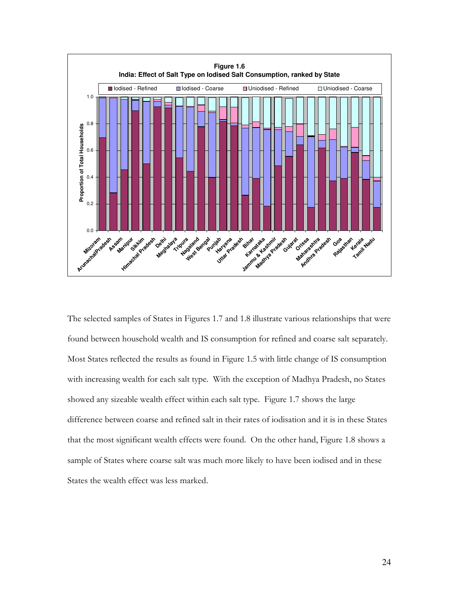

The selected samples of States in Figures 1.7 and 1.8 illustrate various relationships that were found between household wealth and IS consumption for refined and coarse salt separately. Most States reflected the results as found in Figure 1.5 with little change of IS consumption with increasing wealth for each salt type. With the exception of Madhya Pradesh, no States showed any sizeable wealth effect within each salt type. Figure 1.7 shows the large difference between coarse and refined salt in their rates of iodisation and it is in these States that the most significant wealth effects were found. On the other hand, Figure 1.8 shows a sample of States where coarse salt was much more likely to have been iodised and in these States the wealth effect was less marked.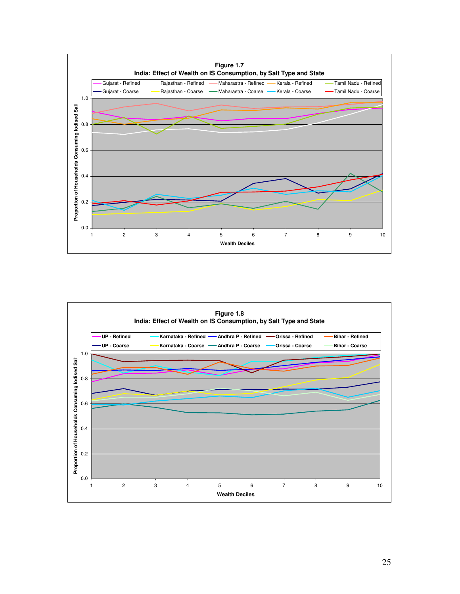

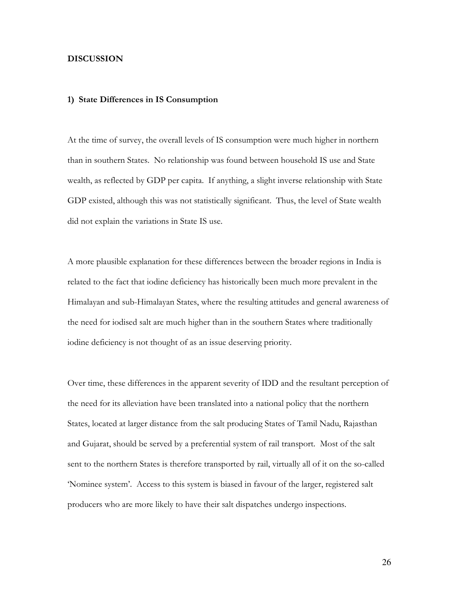#### **DISCUSSION**

#### 1) State Differences in IS Consumption

At the time of survey, the overall levels of IS consumption were much higher in northern than in southern States. No relationship was found between household IS use and State wealth, as reflected by GDP per capita. If anything, a slight inverse relationship with State GDP existed, although this was not statistically significant. Thus, the level of State wealth did not explain the variations in State IS use.

A more plausible explanation for these differences between the broader regions in India is related to the fact that iodine deficiency has historically been much more prevalent in the Himalayan and sub-Himalayan States, where the resulting attitudes and general awareness of the need for iodised salt are much higher than in the southern States where traditionally iodine deficiency is not thought of as an issue deserving priority.

Over time, these differences in the apparent severity of IDD and the resultant perception of the need for its alleviation have been translated into a national policy that the northern States, located at larger distance from the salt producing States of Tamil Nadu, Rajasthan and Gujarat, should be served by a preferential system of rail transport. Most of the salt sent to the northern States is therefore transported by rail, virtually all of it on the so-called Nominee system'. Access to this system is biased in favour of the larger, registered salt producers who are more likely to have their salt dispatches undergo inspections.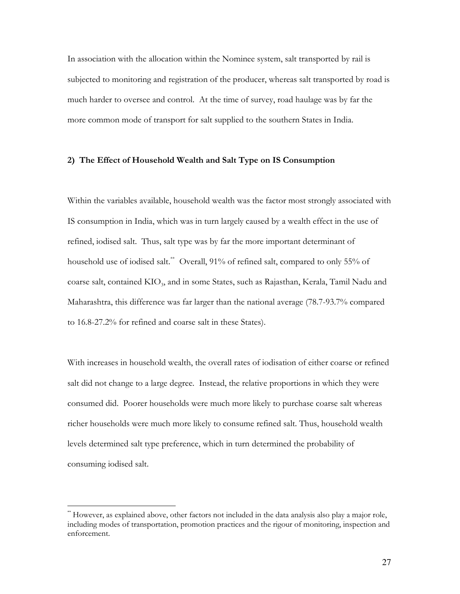In association with the allocation within the Nominee system, salt transported by rail is subjected to monitoring and registration of the producer, whereas salt transported by road is much harder to oversee and control. At the time of survey, road haulage was by far the more common mode of transport for salt supplied to the southern States in India.

#### 2) The Effect of Household Wealth and Salt Type on IS Consumption

Within the variables available, household wealth was the factor most strongly associated with IS consumption in India, which was in turn largely caused by a wealth effect in the use of refined, iodised salt. Thus, salt type was by far the more important determinant of household use of iodised salt.<sup>\*\*</sup> Overall, 91% of refined salt, compared to only 55% of coarse salt, contained KIO<sub>3</sub>, and in some States, such as Rajasthan, Kerala, Tamil Nadu and Maharashtra, this difference was far larger than the national average (78.7-93.7% compared to 16.8-27.2% for refined and coarse salt in these States).

With increases in household wealth, the overall rates of iodisation of either coarse or refined salt did not change to a large degree. Instead, the relative proportions in which they were consumed did. Poorer households were much more likely to purchase coarse salt whereas richer households were much more likely to consume refined salt. Thus, household wealth levels determined salt type preference, which in turn determined the probability of consuming iodised salt.

<sup>&</sup>quot;However, as explained above, other factors not included in the data analysis also play a major role, including modes of transportation, promotion practices and the rigour of monitoring, inspection and enforcement.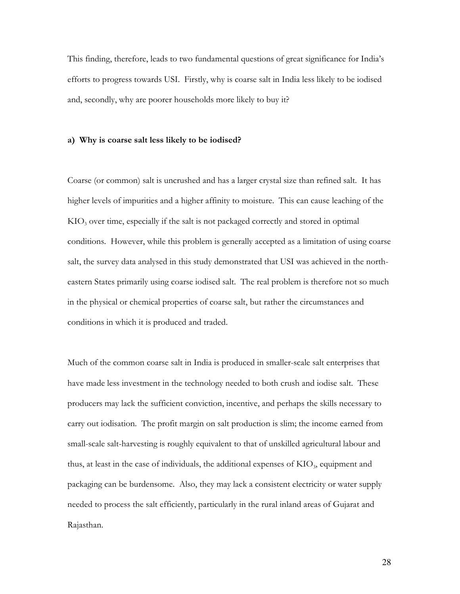This finding, therefore, leads to two fundamental questions of great significance for India's efforts to progress towards USI. Firstly, why is coarse salt in India less likely to be iodised and, secondly, why are poorer households more likely to buy it?

#### a) Why is coarse salt less likely to be iodised?

Coarse (or common) salt is uncrushed and has a larger crystal size than refined salt. It has higher levels of impurities and a higher affinity to moisture. This can cause leaching of the  $KIO<sub>3</sub>$  over time, especially if the salt is not packaged correctly and stored in optimal conditions. However, while this problem is generally accepted as a limitation of using coarse salt, the survey data analysed in this study demonstrated that USI was achieved in the northeastern States primarily using coarse iodised salt. The real problem is therefore not so much in the physical or chemical properties of coarse salt, but rather the circumstances and conditions in which it is produced and traded.

Much of the common coarse salt in India is produced in smaller-scale salt enterprises that have made less investment in the technology needed to both crush and iodise salt. These producers may lack the sufficient conviction, incentive, and perhaps the skills necessary to carry out iodisation. The profit margin on salt production is slim; the income earned from small-scale salt-harvesting is roughly equivalent to that of unskilled agricultural labour and thus, at least in the case of individuals, the additional expenses of  $KIO_2$ , equipment and packaging can be burdensome. Also, they may lack a consistent electricity or water supply needed to process the salt efficiently, particularly in the rural inland areas of Gujarat and Rajasthan.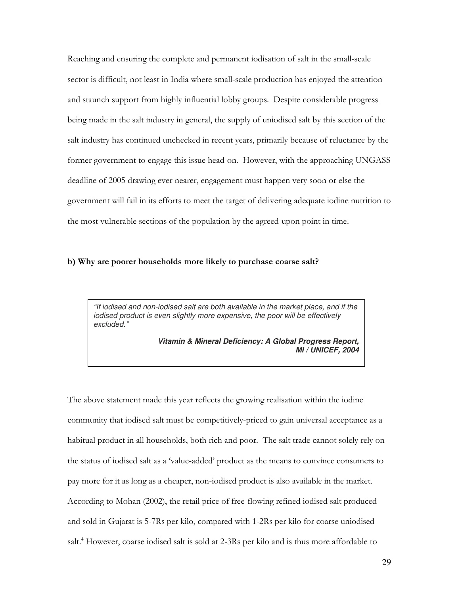Reaching and ensuring the complete and permanent iodisation of salt in the small-scale sector is difficult, not least in India where small-scale production has enjoyed the attention and staunch support from highly influential lobby groups. Despite considerable progress being made in the salt industry in general, the supply of uniodised salt by this section of the salt industry has continued unchecked in recent years, primarily because of reluctance by the former government to engage this issue head-on. However, with the approaching UNGASS deadline of 2005 drawing ever nearer, engagement must happen very soon or else the government will fail in its efforts to meet the target of delivering adequate iodine nutrition to the most vulnerable sections of the population by the agreed-upon point in time.

#### b) Why are poorer households more likely to purchase coarse salt?

*"If iodised and non-iodised salt are both available in the market place, and if the iodised product is even slightly more expensive, the poor will be effectively excluded."*

> *Vitamin & Mineral Deficiency: A Global Progress Report, MI / UNICEF, 2004*

The above statement made this year reflects the growing realisation within the iodine community that iodised salt must be competitively-priced to gain universal acceptance as a habitual product in all households, both rich and poor. The salt trade cannot solely rely on the status of iodised salt as a 'value-added' product as the means to convince consumers to pay more for it as long as a cheaper, non-iodised product is also available in the market. According to Mohan (2002), the retail price of free-flowing refined iodised salt produced and sold in Gujarat is 5-7Rs per kilo, compared with 1-2Rs per kilo for coarse uniodised salt.<sup>4</sup> However, coarse iodised salt is sold at 2-3Rs per kilo and is thus more affordable to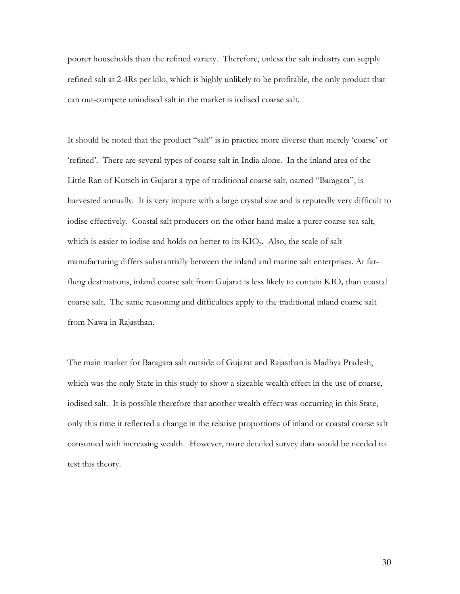poorer households than the refined variety. Therefore, unless the salt industry can supply refined salt at 2-4Rs per kilo, which is highly unlikely to be profitable, the only product that can out-compete uniodised salt in the market is iodised coarse salt.

It should be noted that the product "salt" is in practice more diverse than merely 'coarse' or 'refined'. There are several types of coarse salt in India alone. In the inland area of the Little Ran of Kutsch in Gujarat a type of traditional coarse salt, named "Baragara", is harvested annually. It is very impure with a large crystal size and is reputedly very difficult to iodise effectively. Coastal salt producers on the other hand make a purer coarse sea salt, which is easier to iodise and holds on better to its KIO<sub>3</sub>. Also, the scale of salt manufacturing differs substantially between the inland and marine salt enterprises. At farflung destinations, inland coarse salt from Gujarat is less likely to contain  $KIO_3$  than coastal coarse salt. The same reasoning and difficulties apply to the traditional inland coarse salt from Nawa in Rajasthan.

The main market for Baragara salt outside of Gujarat and Rajasthan is Madhya Pradesh, which was the only State in this study to show a sizeable wealth effect in the use of coarse, iodised salt. It is possible therefore that another wealth effect was occurring in this State, only this time it reflected a change in the relative proportions of inland or coastal coarse salt consumed with increasing wealth. However, more detailed survey data would be needed to test this theory.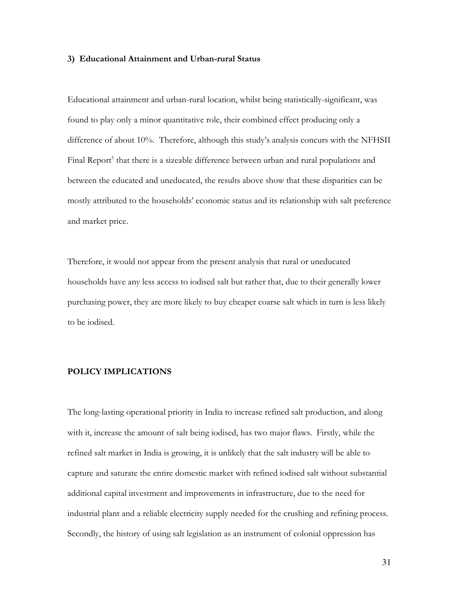#### 3) Educational Attainment and Urban-rural Status

Educational attainment and urban-rural location, whilst being statistically-significant, was found to play only a minor quantitative role, their combined effect producing only a difference of about 10%. Therefore, although this study's analysis concurs with the NFHSII Final Report<sup>5</sup> that there is a sizeable difference between urban and rural populations and between the educated and uneducated, the results above show that these disparities can be mostly attributed to the households' economic status and its relationship with salt preference and market price.

Therefore, it would not appear from the present analysis that rural or uneducated households have any less access to iodised salt but rather that, due to their generally lower purchasing power, they are more likely to buy cheaper coarse salt which in turn is less likely to be iodised.

### **POLICY IMPLICATIONS**

The long-lasting operational priority in India to increase refined salt production, and along with it, increase the amount of salt being iodised, has two major flaws. Firstly, while the refined salt market in India is growing, it is unlikely that the salt industry will be able to capture and saturate the entire domestic market with refined iodised salt without substantial additional capital investment and improvements in infrastructure, due to the need for industrial plant and a reliable electricity supply needed for the crushing and refining process. Secondly, the history of using salt legislation as an instrument of colonial oppression has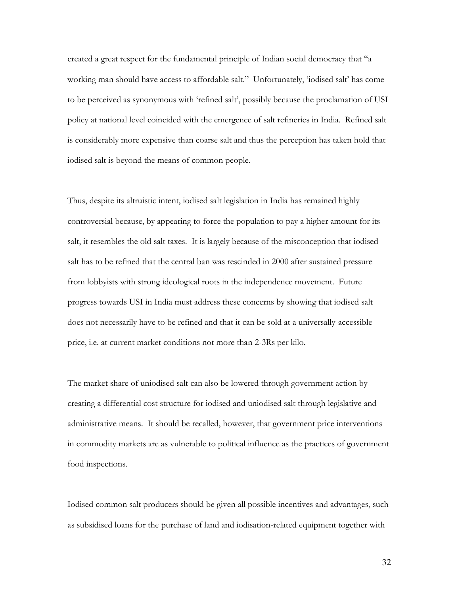created a great respect for the fundamental principle of Indian social democracy that "a working man should have access to affordable salt." Unfortunately, 'iodised salt' has come to be perceived as synonymous with 'refined salt', possibly because the proclamation of USI policy at national level coincided with the emergence of salt refineries in India. Refined salt is considerably more expensive than coarse salt and thus the perception has taken hold that iodised salt is beyond the means of common people.

Thus, despite its altruistic intent, iodised salt legislation in India has remained highly controversial because, by appearing to force the population to pay a higher amount for its salt, it resembles the old salt taxes. It is largely because of the misconception that iodised salt has to be refined that the central ban was rescinded in 2000 after sustained pressure from lobbyists with strong ideological roots in the independence movement. Future progress towards USI in India must address these concerns by showing that iodised salt does not necessarily have to be refined and that it can be sold at a universally-accessible price, i.e. at current market conditions not more than 2-3Rs per kilo.

The market share of uniodised salt can also be lowered through government action by creating a differential cost structure for iodised and uniodised salt through legislative and administrative means. It should be recalled, however, that government price interventions in commodity markets are as vulnerable to political influence as the practices of government food inspections.

Iodised common salt producers should be given all possible incentives and advantages, such as subsidised loans for the purchase of land and iodisation-related equipment together with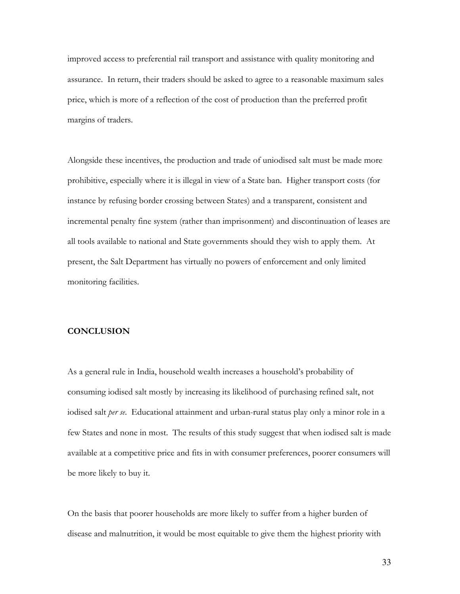improved access to preferential rail transport and assistance with quality monitoring and assurance. In return, their traders should be asked to agree to a reasonable maximum sales price, which is more of a reflection of the cost of production than the preferred profit margins of traders.

Alongside these incentives, the production and trade of uniodised salt must be made more prohibitive, especially where it is illegal in view of a State ban. Higher transport costs (for instance by refusing border crossing between States) and a transparent, consistent and incremental penalty fine system (rather than imprisonment) and discontinuation of leases are all tools available to national and State governments should they wish to apply them. At present, the Salt Department has virtually no powers of enforcement and only limited monitoring facilities.

#### **CONCLUSION**

As a general rule in India, household wealth increases a household's probability of consuming iodised salt mostly by increasing its likelihood of purchasing refined salt, not iodised salt per se. Educational attainment and urban-rural status play only a minor role in a few States and none in most. The results of this study suggest that when iodised salt is made available at a competitive price and fits in with consumer preferences, poorer consumers will be more likely to buy it.

On the basis that poorer households are more likely to suffer from a higher burden of disease and malnutrition, it would be most equitable to give them the highest priority with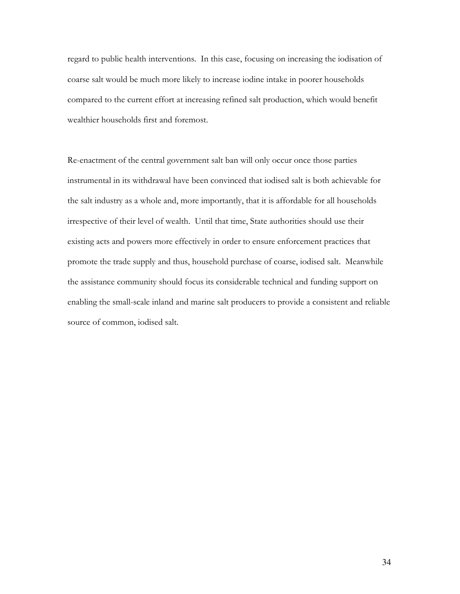regard to public health interventions. In this case, focusing on increasing the iodisation of coarse salt would be much more likely to increase iodine intake in poorer households compared to the current effort at increasing refined salt production, which would benefit wealthier households first and foremost.

Re-enactment of the central government salt ban will only occur once those parties instrumental in its withdrawal have been convinced that iodised salt is both achievable for the salt industry as a whole and, more importantly, that it is affordable for all households irrespective of their level of wealth. Until that time, State authorities should use their existing acts and powers more effectively in order to ensure enforcement practices that promote the trade supply and thus, household purchase of coarse, iodised salt. Meanwhile the assistance community should focus its considerable technical and funding support on enabling the small-scale inland and marine salt producers to provide a consistent and reliable source of common, iodised salt.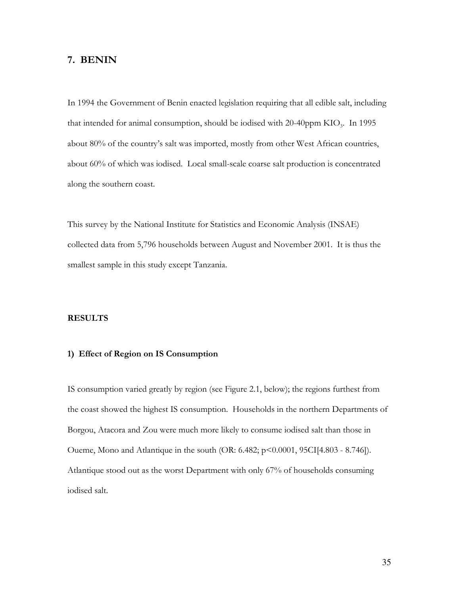## 7. BENIN

In 1994 the Government of Benin enacted legislation requiring that all edible salt, including that intended for animal consumption, should be iodised with 20-40ppm KIO<sub>3</sub>. In 1995 about 80% of the country's salt was imported, mostly from other West African countries, about 60% of which was iodised. Local small-scale coarse salt production is concentrated along the southern coast.

This survey by the National Institute for Statistics and Economic Analysis (INSAE) collected data from 5,796 households between August and November 2001. It is thus the smallest sample in this study except Tanzania.

### **RESULTS**

#### 1) Effect of Region on IS Consumption

IS consumption varied greatly by region (see Figure 2.1, below); the regions furthest from the coast showed the highest IS consumption. Households in the northern Departments of Borgou, Atacora and Zou were much more likely to consume iodised salt than those in Oueme, Mono and Atlantique in the south (OR: 6.482; p<0.0001, 95CI[4.803 - 8.746]). Atlantique stood out as the worst Department with only 67% of households consuming iodised salt.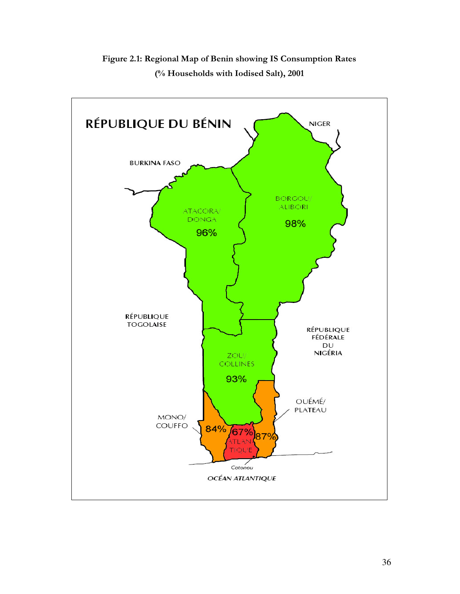

Figure 2.1: Regional Map of Benin showing IS Consumption Rates (% Households with Iodised Salt), 2001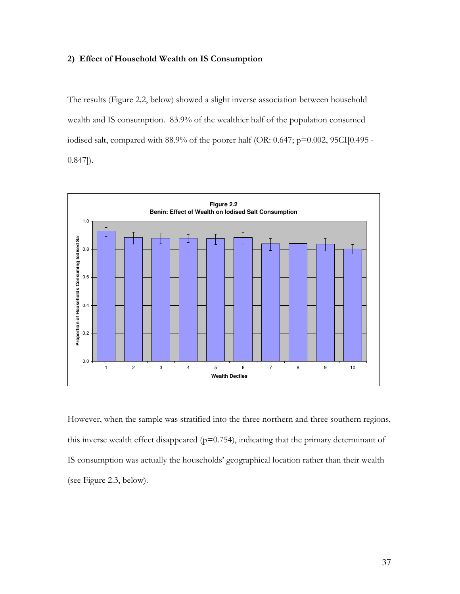## 2) Effect of Household Wealth on IS Consumption

The results (Figure 2.2, below) showed a slight inverse association between household wealth and IS consumption. 83.9% of the wealthier half of the population consumed iodised salt, compared with 88.9% of the poorer half (OR: 0.647; p=0.002, 95CI[0.495 - $(0.847)$ .



However, when the sample was stratified into the three northern and three southern regions, this inverse wealth effect disappeared ( $p=0.754$ ), indicating that the primary determinant of IS consumption was actually the households' geographical location rather than their wealth (see Figure 2.3, below).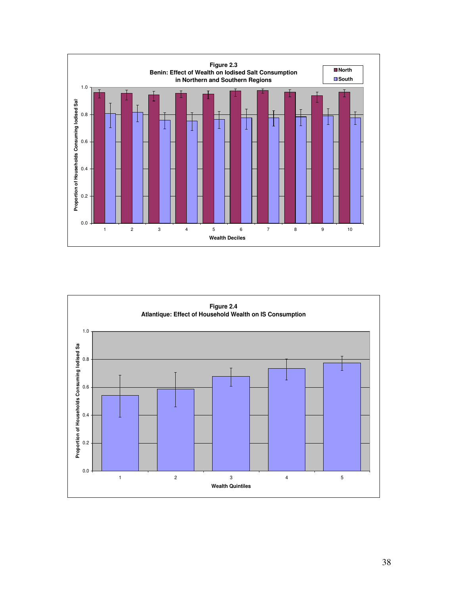

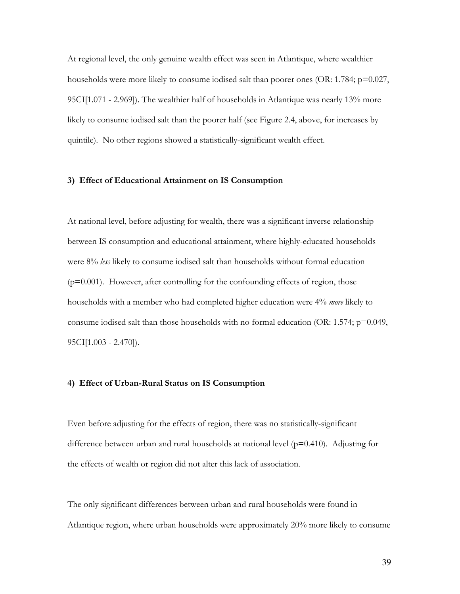At regional level, the only genuine wealth effect was seen in Atlantique, where wealthier households were more likely to consume iodised salt than poorer ones (OR: 1.784;  $p=0.027$ , 95CI[1.071 - 2.969]). The wealthier half of households in Atlantique was nearly 13% more likely to consume iodised salt than the poorer half (see Figure 2.4, above, for increases by quintile). No other regions showed a statistically-significant wealth effect.

#### 3) Effect of Educational Attainment on IS Consumption

At national level, before adjusting for wealth, there was a significant inverse relationship between IS consumption and educational attainment, where highly-educated households were 8% less likely to consume iodised salt than households without formal education  $(p=0.001)$ . However, after controlling for the confounding effects of region, those households with a member who had completed higher education were 4% *more* likely to consume iodised salt than those households with no formal education (OR: 1.574;  $p=0.049$ ,  $95CI[1.003 - 2.470]$ .

## 4) Effect of Urban-Rural Status on IS Consumption

Even before adjusting for the effects of region, there was no statistically-significant difference between urban and rural households at national level ( $p=0.410$ ). Adjusting for the effects of wealth or region did not alter this lack of association.

The only significant differences between urban and rural households were found in Atlantique region, where urban households were approximately 20% more likely to consume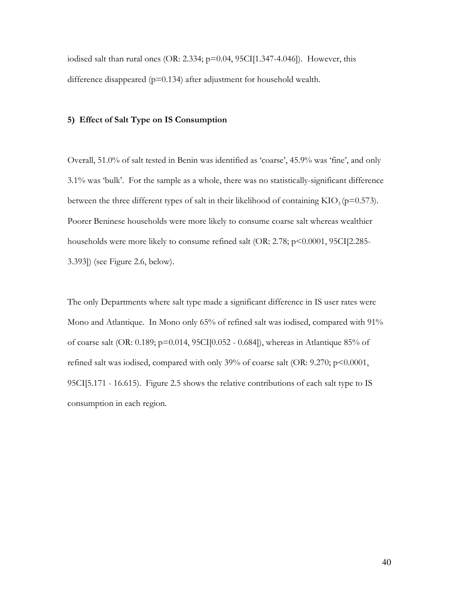iodised salt than rural ones (OR: 2.334;  $p=0.04$ , 95CI[1.347-4.046]). However, this difference disappeared ( $p=0.134$ ) after adjustment for household wealth.

# 5) Effect of Salt Type on IS Consumption

Overall, 51.0% of salt tested in Benin was identified as 'coarse', 45.9% was 'fine', and only 3.1% was 'bulk'. For the sample as a whole, there was no statistically-significant difference between the three different types of salt in their likelihood of containing  $KIO_3(p=0.573)$ . Poorer Beninese households were more likely to consume coarse salt whereas wealthier households were more likely to consume refined salt (OR: 2.78; p<0.0001, 95CI[2.285-3.393]) (see Figure 2.6, below).

The only Departments where salt type made a significant difference in IS user rates were Mono and Atlantique. In Mono only 65% of refined salt was iodised, compared with 91% of coarse salt (OR: 0.189; p=0.014, 95CI[0.052 - 0.684]), whereas in Atlantique 85% of refined salt was iodised, compared with only 39% of coarse salt (OR: 9.270; p<0.0001, 95CI[5.171 - 16.615). Figure 2.5 shows the relative contributions of each salt type to IS consumption in each region.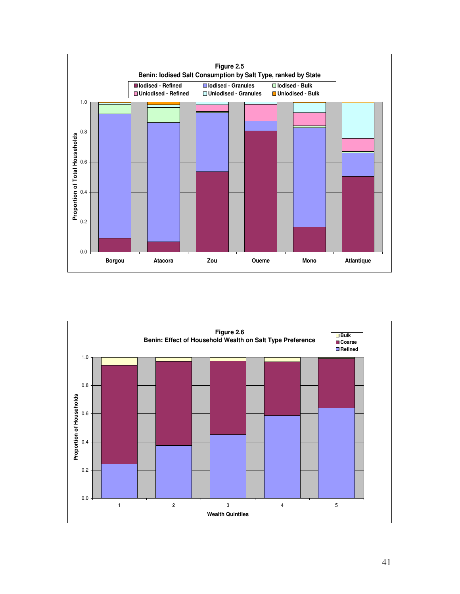

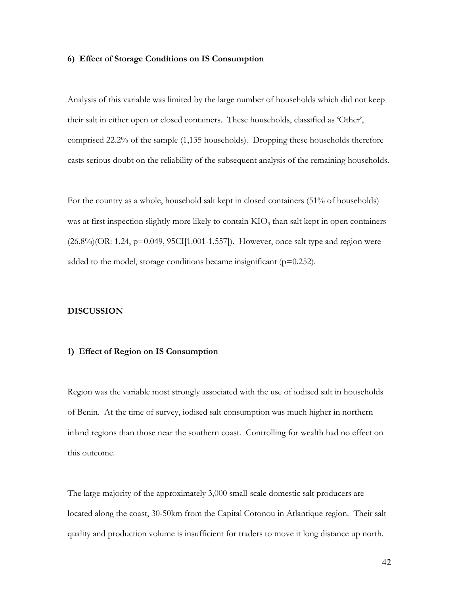#### 6) Effect of Storage Conditions on IS Consumption

Analysis of this variable was limited by the large number of households which did not keep their salt in either open or closed containers. These households, classified as 'Other', comprised 22.2% of the sample (1,135 households). Dropping these households therefore casts serious doubt on the reliability of the subsequent analysis of the remaining households.

For the country as a whole, household salt kept in closed containers (51% of households) was at first inspection slightly more likely to contain  $KIO_3$  than salt kept in open containers  $(26.8\%)$ (OR: 1.24, p=0.049, 95CI[1.001-1.557]). However, once salt type and region were added to the model, storage conditions became insignificant ( $p=0.252$ ).

#### **DISCUSSION**

#### 1) Effect of Region on IS Consumption

Region was the variable most strongly associated with the use of iodised salt in households of Benin. At the time of survey, iodised salt consumption was much higher in northern inland regions than those near the southern coast. Controlling for wealth had no effect on this outcome.

The large majority of the approximately 3,000 small-scale domestic salt producers are located along the coast, 30-50km from the Capital Cotonou in Atlantique region. Their salt quality and production volume is insufficient for traders to move it long distance up north.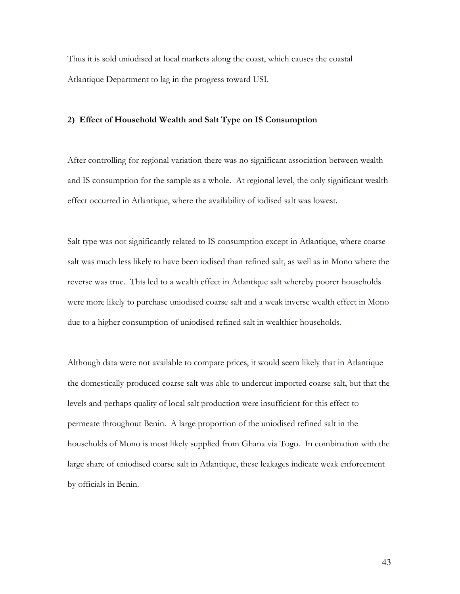Thus it is sold uniodised at local markets along the coast, which causes the coastal Atlantique Department to lag in the progress toward USI.

# 2) Effect of Household Wealth and Salt Type on IS Consumption

After controlling for regional variation there was no significant association between wealth and IS consumption for the sample as a whole. At regional level, the only significant wealth effect occurred in Atlantique, where the availability of iodised salt was lowest.

Salt type was not significantly related to IS consumption except in Atlantique, where coarse salt was much less likely to have been iodised than refined salt, as well as in Mono where the reverse was true. This led to a wealth effect in Atlantique salt whereby poorer households were more likely to purchase uniodised coarse salt and a weak inverse wealth effect in Mono due to a higher consumption of uniodised refined salt in wealthier households.

Although data were not available to compare prices, it would seem likely that in Atlantique the domestically-produced coarse salt was able to undercut imported coarse salt, but that the levels and perhaps quality of local salt production were insufficient for this effect to permeate throughout Benin. A large proportion of the uniodised refined salt in the households of Mono is most likely supplied from Ghana via Togo. In combination with the large share of uniodised coarse salt in Atlantique, these leakages indicate weak enforcement by officials in Benin.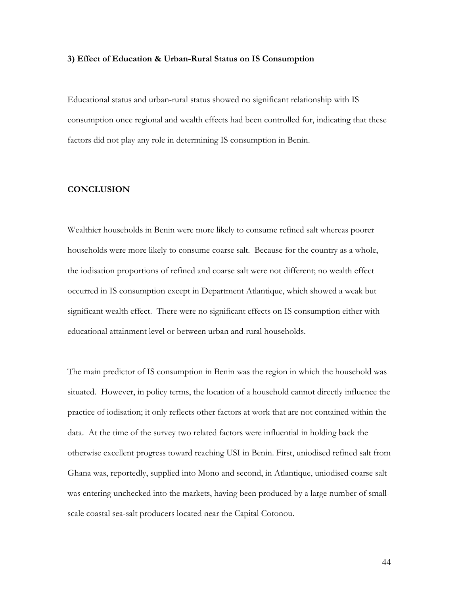#### 3) Effect of Education & Urban-Rural Status on IS Consumption

Educational status and urban-rural status showed no significant relationship with IS consumption once regional and wealth effects had been controlled for, indicating that these factors did not play any role in determining IS consumption in Benin.

# **CONCLUSION**

Wealthier households in Benin were more likely to consume refined salt whereas poorer households were more likely to consume coarse salt. Because for the country as a whole, the iodisation proportions of refined and coarse salt were not different; no wealth effect occurred in IS consumption except in Department Atlantique, which showed a weak but significant wealth effect. There were no significant effects on IS consumption either with educational attainment level or between urban and rural households.

The main predictor of IS consumption in Benin was the region in which the household was situated. However, in policy terms, the location of a household cannot directly influence the practice of iodisation; it only reflects other factors at work that are not contained within the data. At the time of the survey two related factors were influential in holding back the otherwise excellent progress toward reaching USI in Benin. First, uniodised refined salt from Ghana was, reportedly, supplied into Mono and second, in Atlantique, uniodised coarse salt was entering unchecked into the markets, having been produced by a large number of smallscale coastal sea-salt producers located near the Capital Cotonou.

44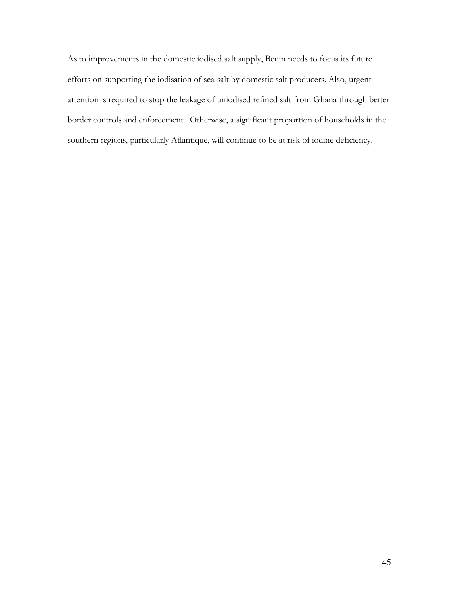As to improvements in the domestic iodised salt supply, Benin needs to focus its future efforts on supporting the iodisation of sea-salt by domestic salt producers. Also, urgent attention is required to stop the leakage of uniodised refined salt from Ghana through better border controls and enforcement. Otherwise, a significant proportion of households in the southern regions, particularly Atlantique, will continue to be at risk of iodine deficiency.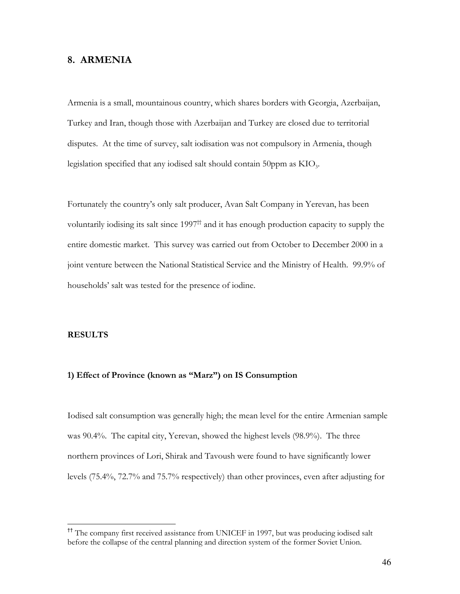# 8. ARMENIA

Armenia is a small, mountainous country, which shares borders with Georgia, Azerbaijan, Turkey and Iran, though those with Azerbaijan and Turkey are closed due to territorial disputes. At the time of survey, salt iodisation was not compulsory in Armenia, though legislation specified that any iodised salt should contain 50ppm as KIO<sub>3</sub>.

Fortunately the country's only salt producer, Avan Salt Company in Yerevan, has been voluntarily iodising its salt since  $1997<sup>th</sup>$  and it has enough production capacity to supply the entire domestic market. This survey was carried out from October to December 2000 in a joint venture between the National Statistical Service and the Ministry of Health. 99.9% of households' salt was tested for the presence of iodine.

## **RESULTS**

# 1) Effect of Province (known as "Marz") on IS Consumption

Iodised salt consumption was generally high; the mean level for the entire Armenian sample was 90.4%. The capital city, Yerevan, showed the highest levels (98.9%). The three northern provinces of Lori, Shirak and Tavoush were found to have significantly lower levels  $(75.4\%, 72.7\%$  and  $75.7\%$  respectively) than other provinces, even after adjusting for

<sup>&</sup>lt;sup>11</sup> The company first received assistance from UNICEF in 1997, but was producing iodised salt before the collapse of the central planning and direction system of the former Soviet Union.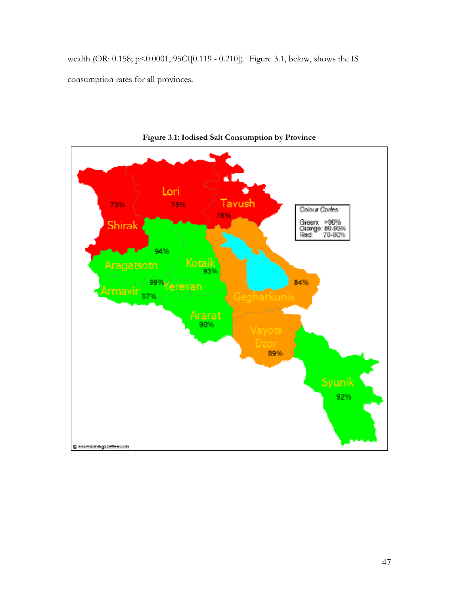wealth (OR: 0.158; p<0.0001, 95CI[0.119 - 0.210]). Figure 3.1, below, shows the IS consumption rates for all provinces.



Figure 3.1: Iodised Salt Consumption by Province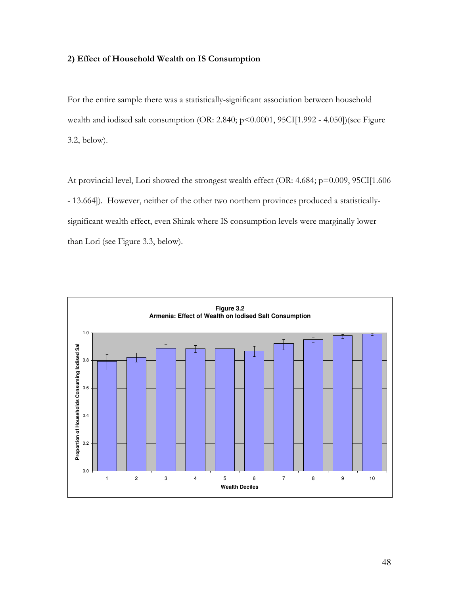## 2) Effect of Household Wealth on IS Consumption

For the entire sample there was a statistically-significant association between household wealth and iodised salt consumption (OR: 2.840; p<0.0001, 95CI[1.992 - 4.050])(see Figure  $3.2$ , below).

At provincial level, Lori showed the strongest wealth effect (OR: 4.684; p=0.009, 95CI[1.606 - 13.664]). However, neither of the other two northern provinces produced a statisticallysignificant wealth effect, even Shirak where IS consumption levels were marginally lower than Lori (see Figure 3.3, below).

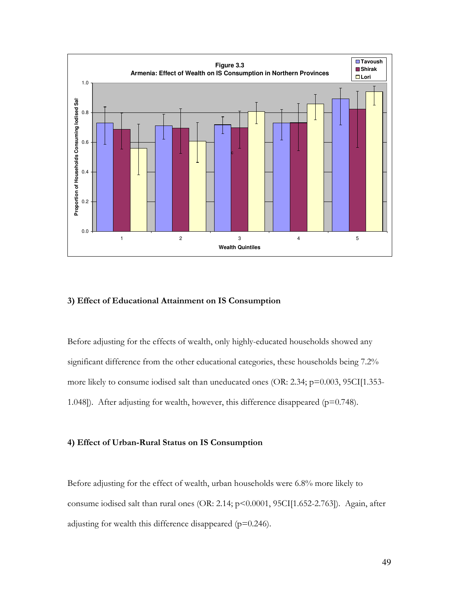

# 3) Effect of Educational Attainment on IS Consumption

Before adjusting for the effects of wealth, only highly-educated households showed any significant difference from the other educational categories, these households being 7.2% more likely to consume iodised salt than uneducated ones (OR: 2.34; p=0.003, 95CI[1.353-1.048]). After adjusting for wealth, however, this difference disappeared ( $p=0.748$ ).

# 4) Effect of Urban-Rural Status on IS Consumption

Before adjusting for the effect of wealth, urban households were 6.8% more likely to consume iodised salt than rural ones (OR: 2.14; p<0.0001, 95CI[1.652-2.763]). Again, after adjusting for wealth this difference disappeared ( $p=0.246$ ).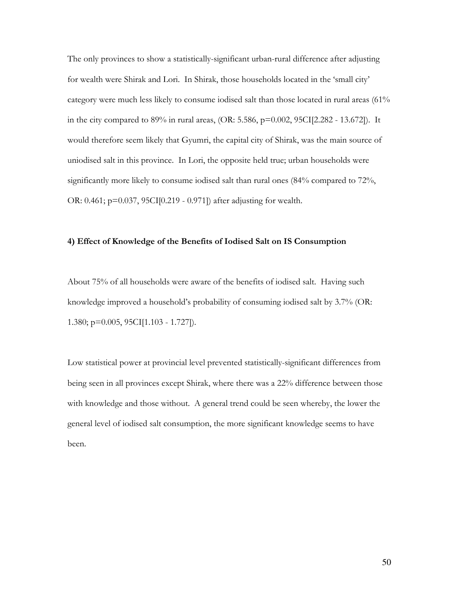The only provinces to show a statistically-significant urban-rural difference after adjusting for wealth were Shirak and Lori. In Shirak, those households located in the 'small city' category were much less likely to consume iodised salt than those located in rural areas (61% in the city compared to 89% in rural areas, (OR: 5.586, p=0.002, 95CI[2.282 - 13.672]). It would therefore seem likely that Gyumri, the capital city of Shirak, was the main source of uniodised salt in this province. In Lori, the opposite held true; urban households were significantly more likely to consume iodised salt than rural ones (84% compared to 72%, OR: 0.461; p=0.037, 95CI[0.219 - 0.971]) after adjusting for wealth.

## 4) Effect of Knowledge of the Benefits of Iodised Salt on IS Consumption

About 75% of all households were aware of the benefits of iodised salt. Having such knowledge improved a household's probability of consuming iodised salt by 3.7% (OR: 1.380;  $p=0.005$ , 95CI[1.103 - 1.727]).

Low statistical power at provincial level prevented statistically-significant differences from being seen in all provinces except Shirak, where there was a 22% difference between those with knowledge and those without. A general trend could be seen whereby, the lower the general level of iodised salt consumption, the more significant knowledge seems to have been.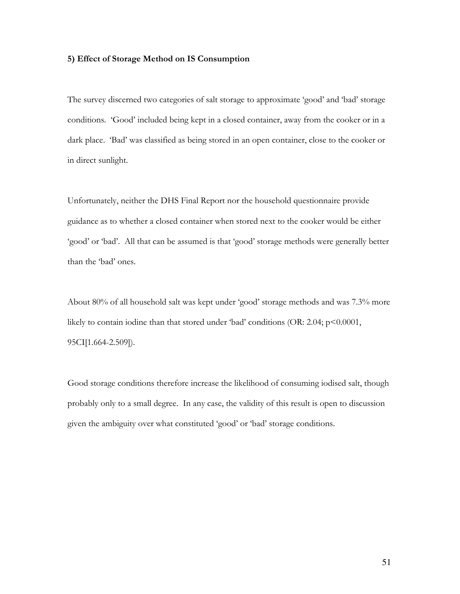#### 5) Effect of Storage Method on IS Consumption

The survey discerned two categories of salt storage to approximate 'good' and 'bad' storage conditions. 'Good' included being kept in a closed container, away from the cooker or in a dark place. 'Bad' was classified as being stored in an open container, close to the cooker or in direct sunlight.

Unfortunately, neither the DHS Final Report nor the household questionnaire provide guidance as to whether a closed container when stored next to the cooker would be either 'good' or 'bad'. All that can be assumed is that 'good' storage methods were generally better than the 'bad' ones.

About 80% of all household salt was kept under 'good' storage methods and was 7.3% more likely to contain iodine than that stored under 'bad' conditions (OR: 2.04;  $p<0.0001$ , 95CI[1.664-2.509]).

Good storage conditions therefore increase the likelihood of consuming iodised salt, though probably only to a small degree. In any case, the validity of this result is open to discussion given the ambiguity over what constituted 'good' or 'bad' storage conditions.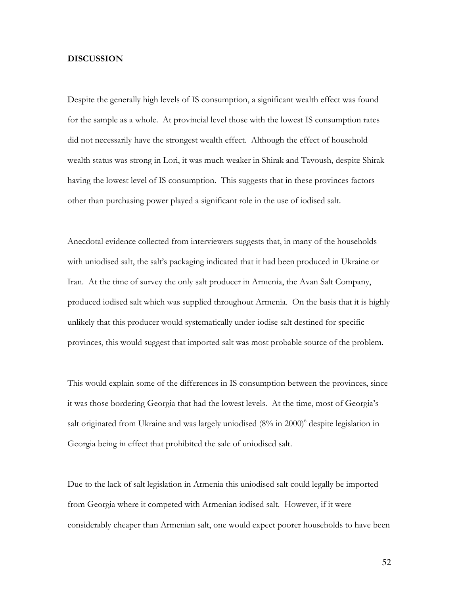## **DISCUSSION**

Despite the generally high levels of IS consumption, a significant wealth effect was found for the sample as a whole. At provincial level those with the lowest IS consumption rates did not necessarily have the strongest wealth effect. Although the effect of household wealth status was strong in Lori, it was much weaker in Shirak and Tavoush, despite Shirak having the lowest level of IS consumption. This suggests that in these provinces factors other than purchasing power played a significant role in the use of iodised salt.

Anecdotal evidence collected from interviewers suggests that, in many of the households with uniodised salt, the salt's packaging indicated that it had been produced in Ukraine or Iran. At the time of survey the only salt producer in Armenia, the Avan Salt Company, produced iodised salt which was supplied throughout Armenia. On the basis that it is highly unlikely that this producer would systematically under-iodise salt destined for specific provinces, this would suggest that imported salt was most probable source of the problem.

This would explain some of the differences in IS consumption between the provinces, since it was those bordering Georgia that had the lowest levels. At the time, most of Georgia's salt originated from Ukraine and was largely uniodised (8% in 2000)<sup>6</sup> despite legislation in Georgia being in effect that prohibited the sale of uniodised salt.

Due to the lack of salt legislation in Armenia this uniodised salt could legally be imported from Georgia where it competed with Armenian iodised salt. However, if it were considerably cheaper than Armenian salt, one would expect poorer households to have been

52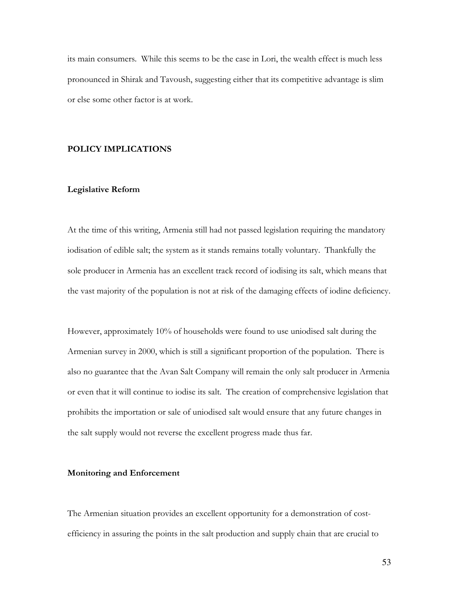its main consumers. While this seems to be the case in Lori, the wealth effect is much less pronounced in Shirak and Tavoush, suggesting either that its competitive advantage is slim or else some other factor is at work.

# **POLICY IMPLICATIONS**

## **Legislative Reform**

At the time of this writing, Armenia still had not passed legislation requiring the mandatory iodisation of edible salt; the system as it stands remains totally voluntary. Thankfully the sole producer in Armenia has an excellent track record of iodising its salt, which means that the vast majority of the population is not at risk of the damaging effects of iodine deficiency.

However, approximately 10% of households were found to use uniodised salt during the Armenian survey in 2000, which is still a significant proportion of the population. There is also no guarantee that the Avan Salt Company will remain the only salt producer in Armenia or even that it will continue to iodise its salt. The creation of comprehensive legislation that prohibits the importation or sale of uniodised salt would ensure that any future changes in the salt supply would not reverse the excellent progress made thus far.

#### **Monitoring and Enforcement**

The Armenian situation provides an excellent opportunity for a demonstration of costefficiency in assuring the points in the salt production and supply chain that are crucial to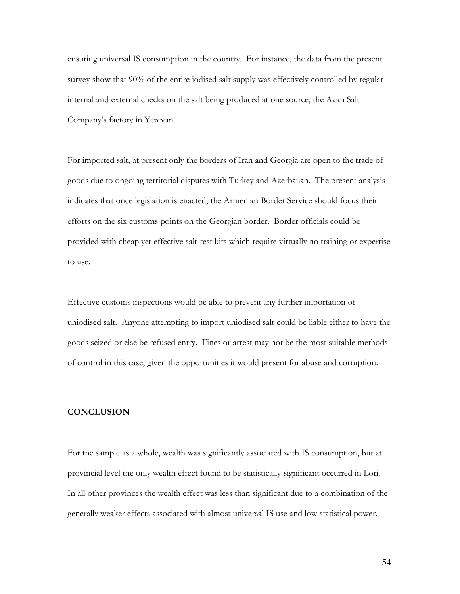ensuring universal IS consumption in the country. For instance, the data from the present survey show that 90% of the entire iodised salt supply was effectively controlled by regular internal and external checks on the salt being produced at one source, the Avan Salt Company's factory in Yerevan.

For imported salt, at present only the borders of Iran and Georgia are open to the trade of goods due to ongoing territorial disputes with Turkey and Azerbaijan. The present analysis indicates that once legislation is enacted, the Armenian Border Service should focus their efforts on the six customs points on the Georgian border. Border officials could be provided with cheap yet effective salt-test kits which require virtually no training or expertise to use.

Effective customs inspections would be able to prevent any further importation of uniodised salt. Anyone attempting to import uniodised salt could be liable either to have the goods seized or else be refused entry. Fines or arrest may not be the most suitable methods of control in this case, given the opportunities it would present for abuse and corruption.

# **CONCLUSION**

For the sample as a whole, wealth was significantly associated with IS consumption, but at provincial level the only wealth effect found to be statistically-significant occurred in Lori. In all other provinces the wealth effect was less than significant due to a combination of the generally weaker effects associated with almost universal IS use and low statistical power.

54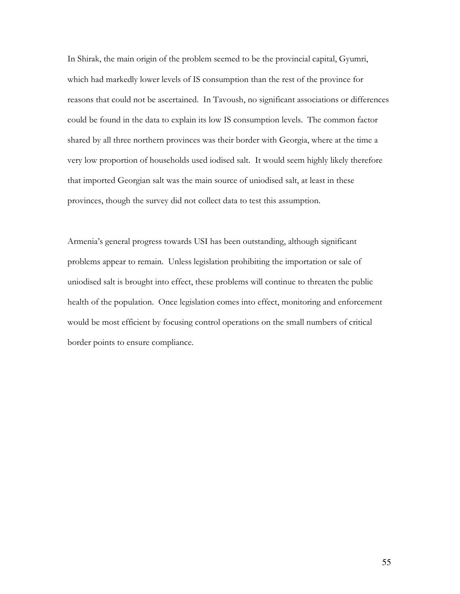In Shirak, the main origin of the problem seemed to be the provincial capital, Gyumri, which had markedly lower levels of IS consumption than the rest of the province for reasons that could not be ascertained. In Tavoush, no significant associations or differences could be found in the data to explain its low IS consumption levels. The common factor shared by all three northern provinces was their border with Georgia, where at the time a very low proportion of households used iodised salt. It would seem highly likely therefore that imported Georgian salt was the main source of uniodised salt, at least in these provinces, though the survey did not collect data to test this assumption.

Armenia's general progress towards USI has been outstanding, although significant problems appear to remain. Unless legislation prohibiting the importation or sale of uniodised salt is brought into effect, these problems will continue to threaten the public health of the population. Once legislation comes into effect, monitoring and enforcement would be most efficient by focusing control operations on the small numbers of critical border points to ensure compliance.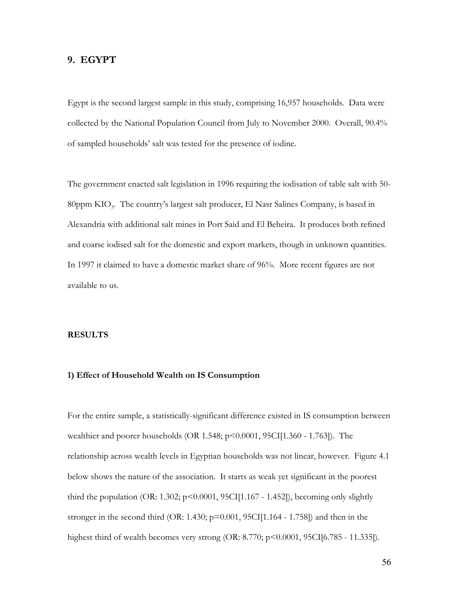# 9. EGYPT

Egypt is the second largest sample in this study, comprising 16,957 households. Data were collected by the National Population Council from July to November 2000. Overall, 90.4% of sampled households' salt was tested for the presence of iodine.

The government enacted salt legislation in 1996 requiring the iodisation of table salt with 50-80ppm  $KIO_3$ . The country's largest salt producer, El Nasr Salines Company, is based in Alexandria with additional salt mines in Port Said and El Beheira. It produces both refined and coarse iodised salt for the domestic and export markets, though in unknown quantities. In 1997 it claimed to have a domestic market share of 96%. More recent figures are not available to us.

## **RESULTS**

# 1) Effect of Household Wealth on IS Consumption

For the entire sample, a statistically-significant difference existed in IS consumption between wealthier and poorer households (OR 1.548;  $p$ <0.0001, 95CI[1.360 - 1.763]). The relationship across wealth levels in Egyptian households was not linear, however. Figure 4.1 below shows the nature of the association. It starts as weak yet significant in the poorest third the population (OR: 1.302;  $p \le 0.0001$ , 95CI[1.167 - 1.452]), becoming only slightly stronger in the second third (OR: 1.430;  $p=0.001$ , 95CI[1.164 - 1.758]) and then in the highest third of wealth becomes very strong (OR:  $8.770$ ;  $p < 0.0001$ ,  $95CI[6.785 - 11.335]$ ).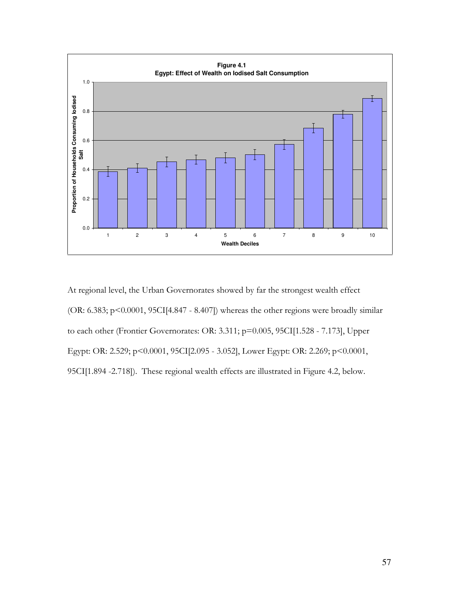

At regional level, the Urban Governorates showed by far the strongest wealth effect (OR: 6.383; p<0.0001, 95CI[4.847 - 8.407]) whereas the other regions were broadly similar to each other (Frontier Governorates: OR: 3.311; p=0.005, 95CI[1.528 - 7.173], Upper Egypt: OR: 2.529; p<0.0001, 95CI[2.095 - 3.052], Lower Egypt: OR: 2.269; p<0.0001, 95CI[1.894 -2.718]). These regional wealth effects are illustrated in Figure 4.2, below.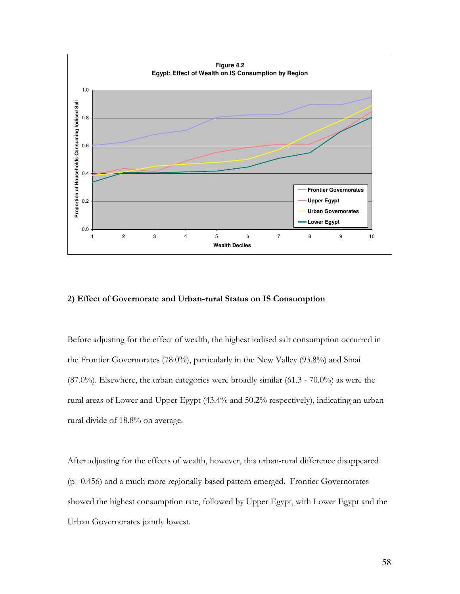

# 2) Effect of Governorate and Urban-rural Status on IS Consumption

Before adjusting for the effect of wealth, the highest iodised salt consumption occurred in the Frontier Governorates (78.0%), particularly in the New Valley (93.8%) and Sinai  $(87.0\%)$ . Elsewhere, the urban categories were broadly similar  $(61.3 - 70.0\%)$  as were the rural areas of Lower and Upper Egypt (43.4% and 50.2% respectively), indicating an urbanrural divide of 18.8% on average.

After adjusting for the effects of wealth, however, this urban-rural difference disappeared (p=0.456) and a much more regionally-based pattern emerged. Frontier Governorates showed the highest consumption rate, followed by Upper Egypt, with Lower Egypt and the Urban Governorates jointly lowest.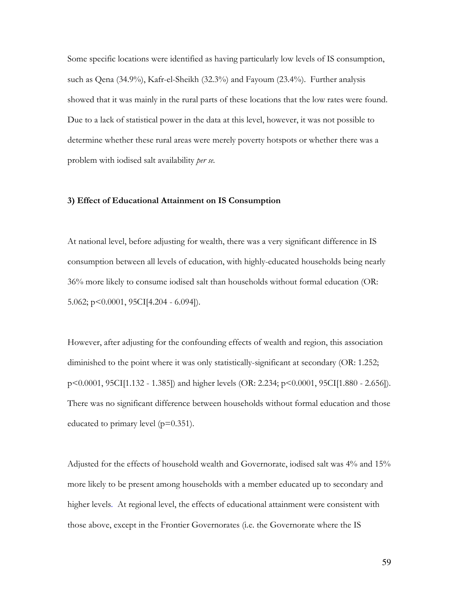Some specific locations were identified as having particularly low levels of IS consumption, such as Qena (34.9%), Kafr-el-Sheikh (32.3%) and Fayoum (23.4%). Further analysis showed that it was mainly in the rural parts of these locations that the low rates were found. Due to a lack of statistical power in the data at this level, however, it was not possible to determine whether these rural areas were merely poverty hotspots or whether there was a problem with iodised salt availability per se.

## 3) Effect of Educational Attainment on IS Consumption

At national level, before adjusting for wealth, there was a very significant difference in IS consumption between all levels of education, with highly-educated households being nearly 36% more likely to consume iodised salt than households without formal education (OR: 5.062;  $p \le 0.0001$ , 95CI[4.204 - 6.094]).

However, after adjusting for the confounding effects of wealth and region, this association diminished to the point where it was only statistically-significant at secondary (OR: 1.252; p<0.0001, 95CI[1.132 - 1.385]) and higher levels (OR: 2.234; p<0.0001, 95CI[1.880 - 2.656]). There was no significant difference between households without formal education and those educated to primary level ( $p=0.351$ ).

Adjusted for the effects of household wealth and Governorate, iodised salt was 4% and 15% more likely to be present among households with a member educated up to secondary and higher levels. At regional level, the effects of educational attainment were consistent with those above, except in the Frontier Governorates (i.e. the Governorate where the IS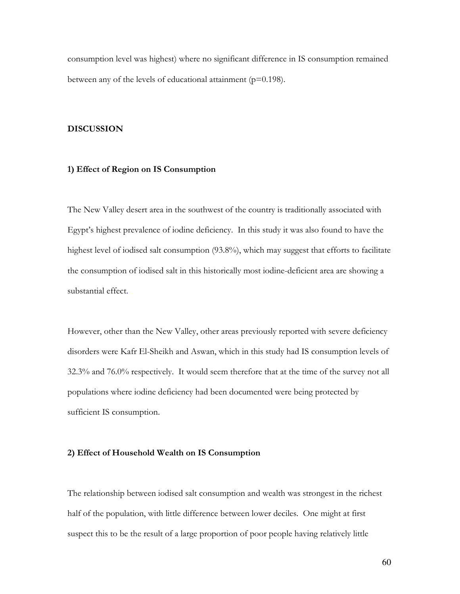consumption level was highest) where no significant difference in IS consumption remained between any of the levels of educational attainment ( $p=0.198$ ).

### **DISCUSSION**

# 1) Effect of Region on IS Consumption

The New Valley desert area in the southwest of the country is traditionally associated with Egypt's highest prevalence of iodine deficiency. In this study it was also found to have the highest level of iodised salt consumption (93.8%), which may suggest that efforts to facilitate the consumption of iodised salt in this historically most iodine-deficient area are showing a substantial effect.

However, other than the New Valley, other areas previously reported with severe deficiency disorders were Kafr El-Sheikh and Aswan, which in this study had IS consumption levels of 32.3% and 76.0% respectively. It would seem therefore that at the time of the survey not all populations where iodine deficiency had been documented were being protected by sufficient IS consumption.

#### 2) Effect of Household Wealth on IS Consumption

The relationship between iodised salt consumption and wealth was strongest in the richest half of the population, with little difference between lower deciles. One might at first suspect this to be the result of a large proportion of poor people having relatively little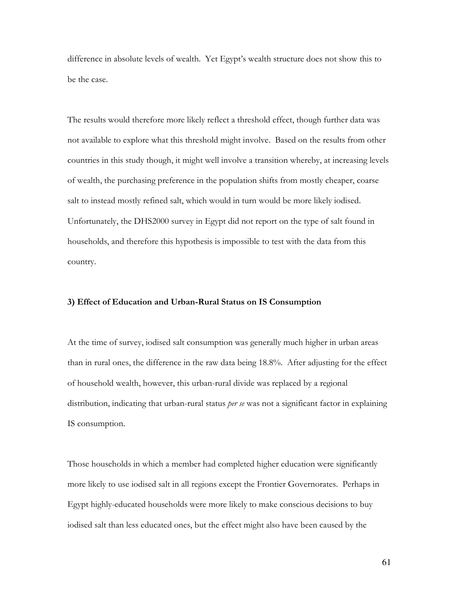difference in absolute levels of wealth. Yet Egypt's wealth structure does not show this to be the case.

The results would therefore more likely reflect a threshold effect, though further data was not available to explore what this threshold might involve. Based on the results from other countries in this study though, it might well involve a transition whereby, at increasing levels of wealth, the purchasing preference in the population shifts from mostly cheaper, coarse salt to instead mostly refined salt, which would in turn would be more likely iodised. Unfortunately, the DHS2000 survey in Egypt did not report on the type of salt found in households, and therefore this hypothesis is impossible to test with the data from this country.

### 3) Effect of Education and Urban-Rural Status on IS Consumption

At the time of survey, iodised salt consumption was generally much higher in urban areas than in rural ones, the difference in the raw data being 18.8%. After adjusting for the effect of household wealth, however, this urban-rural divide was replaced by a regional distribution, indicating that urban-rural status per se was not a significant factor in explaining IS consumption.

Those households in which a member had completed higher education were significantly more likely to use iodised salt in all regions except the Frontier Governorates. Perhaps in Egypt highly-educated households were more likely to make conscious decisions to buy iodised salt than less educated ones, but the effect might also have been caused by the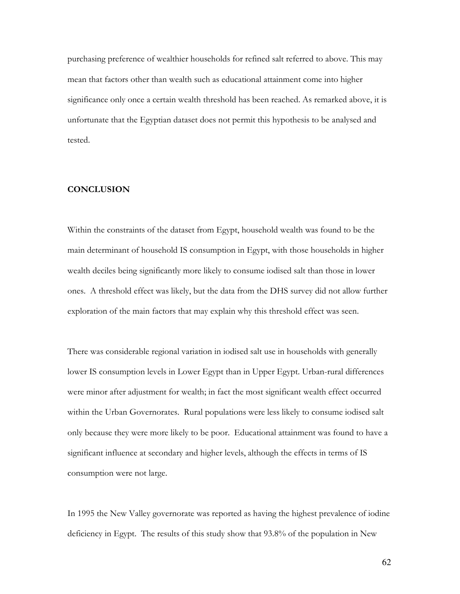purchasing preference of wealthier households for refined salt referred to above. This may mean that factors other than wealth such as educational attainment come into higher significance only once a certain wealth threshold has been reached. As remarked above, it is unfortunate that the Egyptian dataset does not permit this hypothesis to be analysed and tested.

# **CONCLUSION**

Within the constraints of the dataset from Egypt, household wealth was found to be the main determinant of household IS consumption in Egypt, with those households in higher wealth deciles being significantly more likely to consume iodised salt than those in lower ones. A threshold effect was likely, but the data from the DHS survey did not allow further exploration of the main factors that may explain why this threshold effect was seen.

There was considerable regional variation in iodised salt use in households with generally lower IS consumption levels in Lower Egypt than in Upper Egypt. Urban-rural differences were minor after adjustment for wealth; in fact the most significant wealth effect occurred within the Urban Governorates. Rural populations were less likely to consume iodised salt only because they were more likely to be poor. Educational attainment was found to have a significant influence at secondary and higher levels, although the effects in terms of IS consumption were not large.

In 1995 the New Valley governorate was reported as having the highest prevalence of iodine deficiency in Egypt. The results of this study show that 93.8% of the population in New

62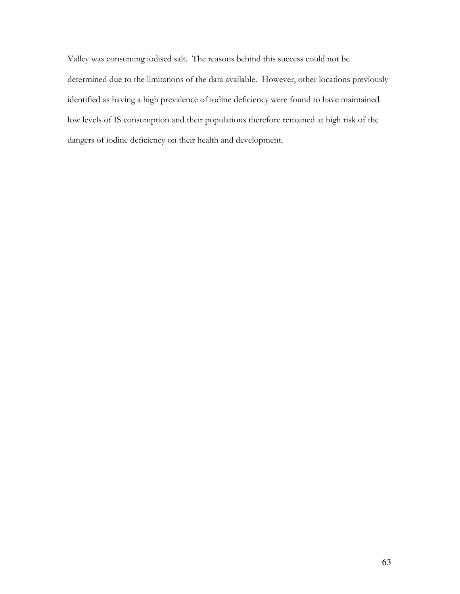Valley was consuming iodised salt. The reasons behind this success could not be determined due to the limitations of the data available. However, other locations previously identified as having a high prevalence of iodine deficiency were found to have maintained low levels of IS consumption and their populations therefore remained at high risk of the dangers of iodine deficiency on their health and development.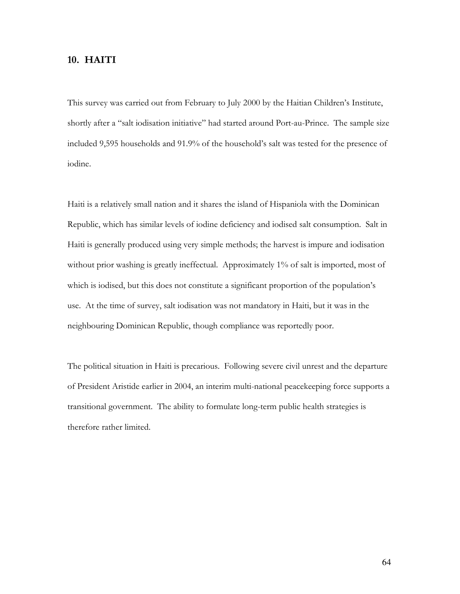# 10. HAITI

This survey was carried out from February to July 2000 by the Haitian Children's Institute, shortly after a "salt iodisation initiative" had started around Port-au-Prince. The sample size included 9,595 households and 91.9% of the household's salt was tested for the presence of iodine.

Haiti is a relatively small nation and it shares the island of Hispaniola with the Dominican Republic, which has similar levels of iodine deficiency and iodised salt consumption. Salt in Haiti is generally produced using very simple methods; the harvest is impure and iodisation without prior washing is greatly ineffectual. Approximately 1% of salt is imported, most of which is iodised, but this does not constitute a significant proportion of the population's use. At the time of survey, salt iodisation was not mandatory in Haiti, but it was in the neighbouring Dominican Republic, though compliance was reportedly poor.

The political situation in Haiti is precarious. Following severe civil unrest and the departure of President Aristide earlier in 2004, an interim multi-national peacekeeping force supports a transitional government. The ability to formulate long-term public health strategies is therefore rather limited.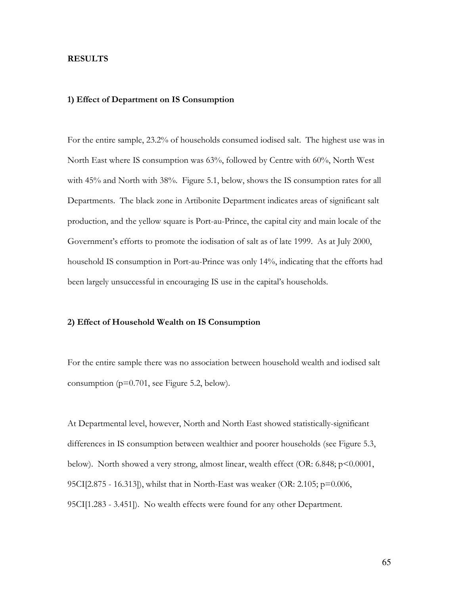## **RESULTS**

## 1) Effect of Department on IS Consumption

For the entire sample, 23.2% of households consumed iodised salt. The highest use was in North East where IS consumption was 63%, followed by Centre with 60%, North West with 45% and North with 38%. Figure 5.1, below, shows the IS consumption rates for all Departments. The black zone in Artibonite Department indicates areas of significant salt production, and the yellow square is Port-au-Prince, the capital city and main locale of the Government's efforts to promote the iodisation of salt as of late 1999. As at July 2000, household IS consumption in Port-au-Prince was only 14%, indicating that the efforts had been largely unsuccessful in encouraging IS use in the capital's households.

### 2) Effect of Household Wealth on IS Consumption

For the entire sample there was no association between household wealth and iodised salt consumption ( $p=0.701$ , see Figure 5.2, below).

At Departmental level, however, North and North East showed statistically-significant differences in IS consumption between wealthier and poorer households (see Figure 5.3, below). North showed a very strong, almost linear, wealth effect (OR: 6.848;  $p \le 0.0001$ , 95CI[2.875 - 16.313]), whilst that in North-East was weaker (OR: 2.105;  $p=0.006$ , 95CI[1.283 - 3.451]). No wealth effects were found for any other Department.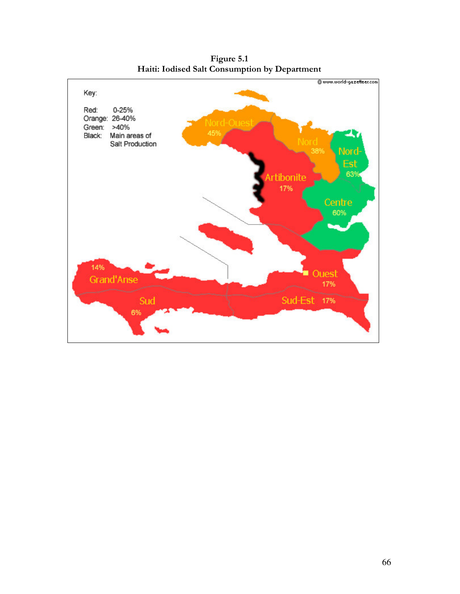

Figure 5.1 Haiti: Iodised Salt Consumption by Department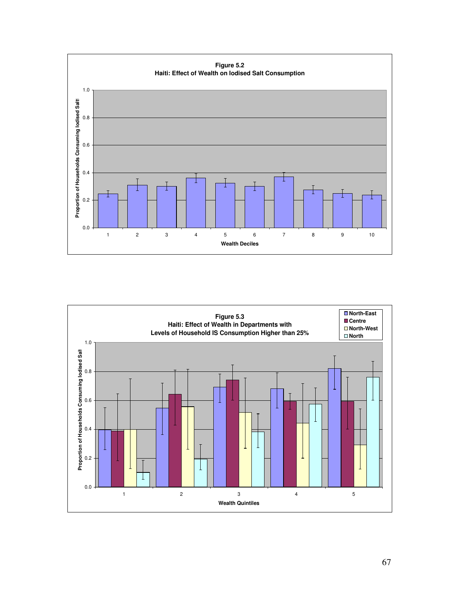

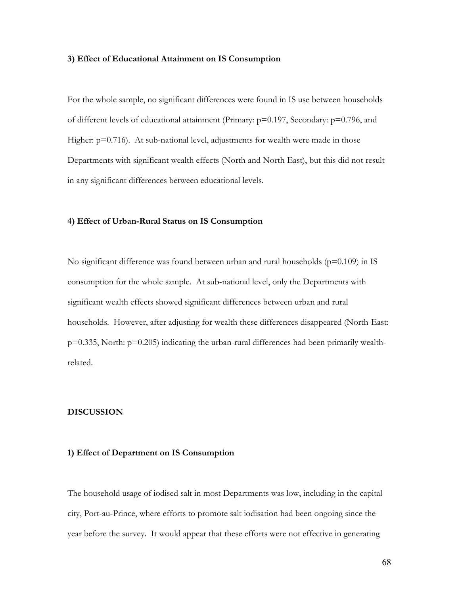#### 3) Effect of Educational Attainment on IS Consumption

For the whole sample, no significant differences were found in IS use between households of different levels of educational attainment (Primary: p=0.197, Secondary: p=0.796, and Higher:  $p=0.716$ ). At sub-national level, adjustments for wealth were made in those Departments with significant wealth effects (North and North East), but this did not result in any significant differences between educational levels.

### 4) Effect of Urban-Rural Status on IS Consumption

No significant difference was found between urban and rural households ( $p=0.109$ ) in IS consumption for the whole sample. At sub-national level, only the Departments with significant wealth effects showed significant differences between urban and rural households. However, after adjusting for wealth these differences disappeared (North-East:  $p=0.335$ , North:  $p=0.205$ ) indicating the urban-rural differences had been primarily wealthrelated.

## **DISCUSSION**

#### 1) Effect of Department on IS Consumption

The household usage of iodised salt in most Departments was low, including in the capital city, Port-au-Prince, where efforts to promote salt iodisation had been ongoing since the year before the survey. It would appear that these efforts were not effective in generating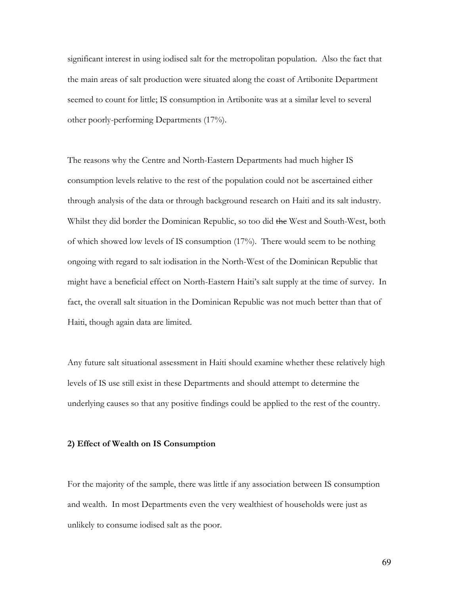significant interest in using iodised salt for the metropolitan population. Also the fact that the main areas of salt production were situated along the coast of Artibonite Department seemed to count for little; IS consumption in Artibonite was at a similar level to several other poorly-performing Departments (17%).

The reasons why the Centre and North-Eastern Departments had much higher IS consumption levels relative to the rest of the population could not be ascertained either through analysis of the data or through background research on Haiti and its salt industry. Whilst they did border the Dominican Republic, so too did the West and South-West, both of which showed low levels of IS consumption (17%). There would seem to be nothing ongoing with regard to salt iodisation in the North-West of the Dominican Republic that might have a beneficial effect on North-Eastern Haiti's salt supply at the time of survey. In fact, the overall salt situation in the Dominican Republic was not much better than that of Haiti, though again data are limited.

Any future salt situational assessment in Haiti should examine whether these relatively high levels of IS use still exist in these Departments and should attempt to determine the underlying causes so that any positive findings could be applied to the rest of the country.

### 2) Effect of Wealth on IS Consumption

For the majority of the sample, there was little if any association between IS consumption and wealth. In most Departments even the very wealthiest of households were just as unlikely to consume iodised salt as the poor.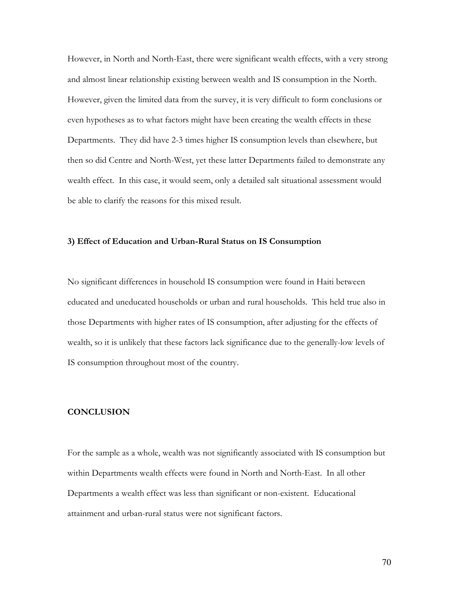However, in North and North-East, there were significant wealth effects, with a very strong and almost linear relationship existing between wealth and IS consumption in the North. However, given the limited data from the survey, it is very difficult to form conclusions or even hypotheses as to what factors might have been creating the wealth effects in these Departments. They did have 2-3 times higher IS consumption levels than elsewhere, but then so did Centre and North-West, yet these latter Departments failed to demonstrate any wealth effect. In this case, it would seem, only a detailed salt situational assessment would be able to clarify the reasons for this mixed result.

## 3) Effect of Education and Urban-Rural Status on IS Consumption

No significant differences in household IS consumption were found in Haiti between educated and uneducated households or urban and rural households. This held true also in those Departments with higher rates of IS consumption, after adjusting for the effects of wealth, so it is unlikely that these factors lack significance due to the generally-low levels of IS consumption throughout most of the country.

# **CONCLUSION**

For the sample as a whole, wealth was not significantly associated with IS consumption but within Departments wealth effects were found in North and North-East. In all other Departments a wealth effect was less than significant or non-existent. Educational attainment and urban-rural status were not significant factors.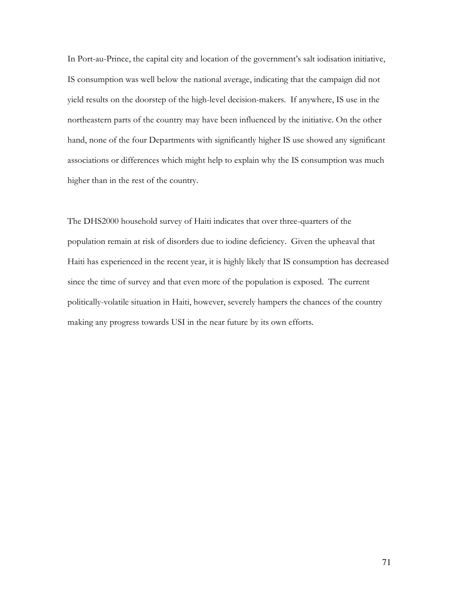In Port-au-Prince, the capital city and location of the government's salt iodisation initiative, IS consumption was well below the national average, indicating that the campaign did not yield results on the doorstep of the high-level decision-makers. If anywhere, IS use in the northeastern parts of the country may have been influenced by the initiative. On the other hand, none of the four Departments with significantly higher IS use showed any significant associations or differences which might help to explain why the IS consumption was much higher than in the rest of the country.

The DHS2000 household survey of Haiti indicates that over three-quarters of the population remain at risk of disorders due to iodine deficiency. Given the upheaval that Haiti has experienced in the recent year, it is highly likely that IS consumption has decreased since the time of survey and that even more of the population is exposed. The current politically-volatile situation in Haiti, however, severely hampers the chances of the country making any progress towards USI in the near future by its own efforts.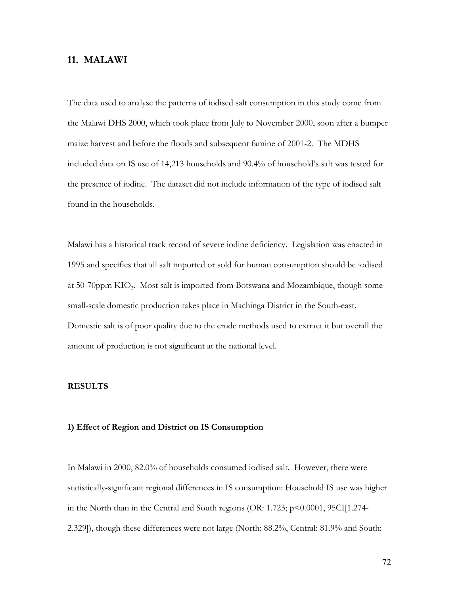# 11. MALAWI

The data used to analyse the patterns of iodised salt consumption in this study come from the Malawi DHS 2000, which took place from July to November 2000, soon after a bumper maize harvest and before the floods and subsequent famine of 2001-2. The MDHS included data on IS use of 14,213 households and 90.4% of household's salt was tested for the presence of iodine. The dataset did not include information of the type of iodised salt found in the households.

Malawi has a historical track record of severe iodine deficiency. Legislation was enacted in 1995 and specifies that all salt imported or sold for human consumption should be iodised at 50-70 ppm  $KIO_3$ . Most salt is imported from Botswana and Mozambique, though some small-scale domestic production takes place in Machinga District in the South-east. Domestic salt is of poor quality due to the crude methods used to extract it but overall the amount of production is not significant at the national level.

### **RESULTS**

### 1) Effect of Region and District on IS Consumption

In Malawi in 2000, 82.0% of households consumed iodised salt. However, there were statistically-significant regional differences in IS consumption: Household IS use was higher in the North than in the Central and South regions (OR: 1.723; p<0.0001, 95CI[1.274-2.329]), though these differences were not large (North: 88.2%, Central: 81.9% and South: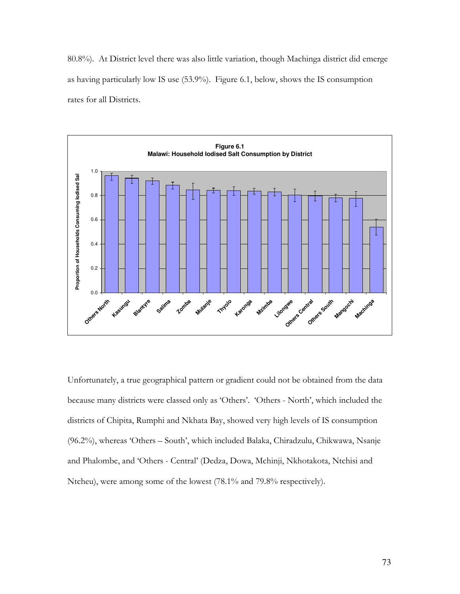80.8%). At District level there was also little variation, though Machinga district did emerge as having particularly low IS use (53.9%). Figure 6.1, below, shows the IS consumption rates for all Districts.



Unfortunately, a true geographical pattern or gradient could not be obtained from the data because many districts were classed only as 'Others'. 'Others - North', which included the districts of Chipita, Rumphi and Nkhata Bay, showed very high levels of IS consumption (96.2%), whereas 'Others - South', which included Balaka, Chiradzulu, Chikwawa, Nsanje and Phalombe, and 'Others - Central' (Dedza, Dowa, Mchinji, Nkhotakota, Ntchisi and Ntcheu), were among some of the lowest (78.1% and 79.8% respectively).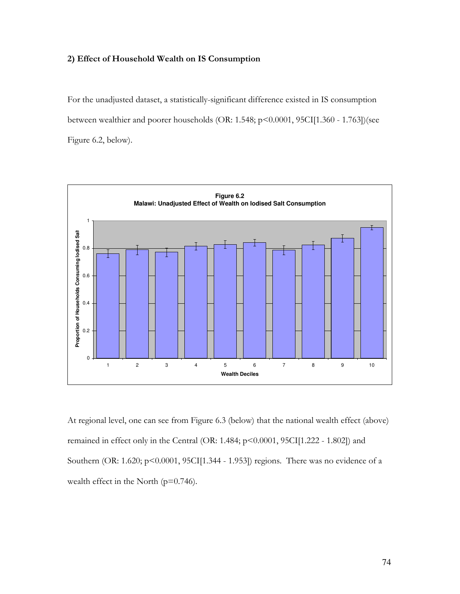# 2) Effect of Household Wealth on IS Consumption

For the unadjusted dataset, a statistically-significant difference existed in IS consumption between wealthier and poorer households (OR: 1.548; p<0.0001, 95CI[1.360 - 1.763])(see Figure 6.2, below).



At regional level, one can see from Figure 6.3 (below) that the national wealth effect (above) remained in effect only in the Central (OR: 1.484; p<0.0001, 95CI[1.222 - 1.802]) and Southern (OR: 1.620; p<0.0001, 95CI[1.344 - 1.953]) regions. There was no evidence of a wealth effect in the North  $(p=0.746)$ .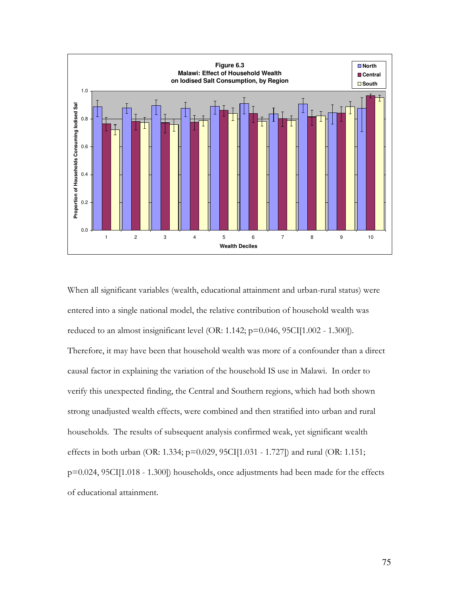

When all significant variables (wealth, educational attainment and urban-rural status) were entered into a single national model, the relative contribution of household wealth was reduced to an almost insignificant level (OR: 1.142;  $p=0.046$ , 95CI[1.002 - 1.300]). Therefore, it may have been that household wealth was more of a confounder than a direct causal factor in explaining the variation of the household IS use in Malawi. In order to verify this unexpected finding, the Central and Southern regions, which had both shown strong unadjusted wealth effects, were combined and then stratified into urban and rural households. The results of subsequent analysis confirmed weak, yet significant wealth effects in both urban (OR: 1.334; p=0.029, 95CI[1.031 - 1.727]) and rural (OR: 1.151; p=0.024, 95CI[1.018 - 1.300]) households, once adjustments had been made for the effects of educational attainment.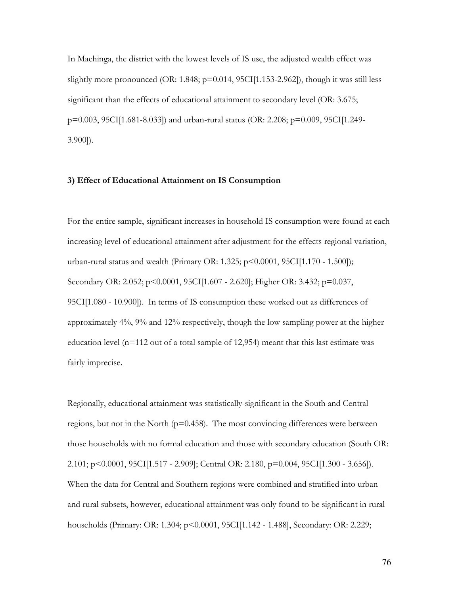In Machinga, the district with the lowest levels of IS use, the adjusted wealth effect was slightly more pronounced (OR: 1.848;  $p=0.014$ , 95CI[1.153-2.962]), though it was still less significant than the effects of educational attainment to secondary level (OR: 3.675; p=0.003, 95CI[1.681-8.033]) and urban-rural status (OR: 2.208; p=0.009, 95CI[1.249- $3.900$ ]).

### 3) Effect of Educational Attainment on IS Consumption

For the entire sample, significant increases in household IS consumption were found at each increasing level of educational attainment after adjustment for the effects regional variation, urban-rural status and wealth (Primary OR: 1.325;  $p \le 0.0001$ , 95CI[1.170 - 1.500]); Secondary OR: 2.052; p<0.0001, 95CI[1.607 - 2.620]; Higher OR: 3.432; p=0.037, 95CI[1.080 - 10.900]). In terms of IS consumption these worked out as differences of approximately 4%, 9% and 12% respectively, though the low sampling power at the higher education level ( $n=112$  out of a total sample of 12,954) meant that this last estimate was fairly imprecise.

Regionally, educational attainment was statistically-significant in the South and Central regions, but not in the North ( $p=0.458$ ). The most convincing differences were between those households with no formal education and those with secondary education (South OR: 2.101; p<0.0001, 95CI[1.517 - 2.909]; Central OR: 2.180, p=0.004, 95CI[1.300 - 3.656]). When the data for Central and Southern regions were combined and stratified into urban and rural subsets, however, educational attainment was only found to be significant in rural households (Primary: OR: 1.304; p<0.0001, 95CI[1.142 - 1.488], Secondary: OR: 2.229;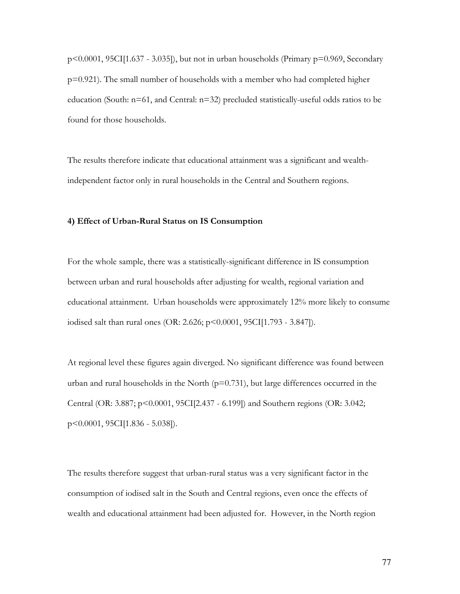$p<0.0001$ , 95CI[1.637 - 3.035]), but not in urban households (Primary  $p=0.969$ , Secondary  $p=0.921$ ). The small number of households with a member who had completed higher education (South: n=61, and Central: n=32) precluded statistically-useful odds ratios to be found for those households.

The results therefore indicate that educational attainment was a significant and wealthindependent factor only in rural households in the Central and Southern regions.

#### 4) Effect of Urban-Rural Status on IS Consumption

For the whole sample, there was a statistically-significant difference in IS consumption between urban and rural households after adjusting for wealth, regional variation and educational attainment. Urban households were approximately 12% more likely to consume iodised salt than rural ones (OR: 2.626; p<0.0001, 95CI[1.793 - 3.847]).

At regional level these figures again diverged. No significant difference was found between urban and rural households in the North  $(p=0.731)$ , but large differences occurred in the Central (OR: 3.887; p<0.0001, 95CI[2.437 - 6.199]) and Southern regions (OR: 3.042; p<0.0001, 95CI[1.836 - 5.038]).

The results therefore suggest that urban-rural status was a very significant factor in the consumption of iodised salt in the South and Central regions, even once the effects of wealth and educational attainment had been adjusted for. However, in the North region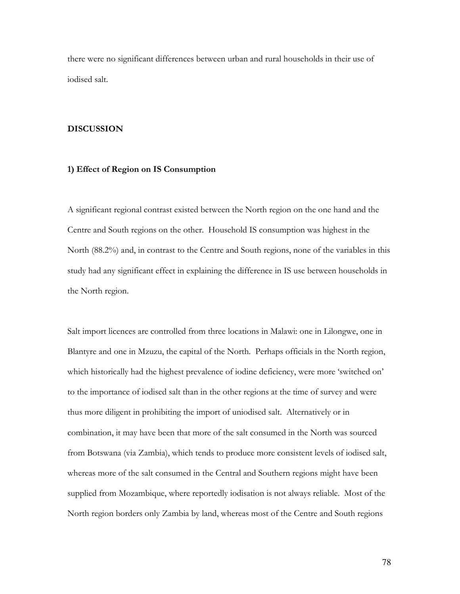there were no significant differences between urban and rural households in their use of iodised salt.

#### **DISCUSSION**

# 1) Effect of Region on IS Consumption

A significant regional contrast existed between the North region on the one hand and the Centre and South regions on the other. Household IS consumption was highest in the North (88.2%) and, in contrast to the Centre and South regions, none of the variables in this study had any significant effect in explaining the difference in IS use between households in the North region.

Salt import licences are controlled from three locations in Malawi: one in Lilongwe, one in Blantyre and one in Mzuzu, the capital of the North. Perhaps officials in the North region, which historically had the highest prevalence of iodine deficiency, were more 'switched on' to the importance of iodised salt than in the other regions at the time of survey and were thus more diligent in prohibiting the import of uniodised salt. Alternatively or in combination, it may have been that more of the salt consumed in the North was sourced from Botswana (via Zambia), which tends to produce more consistent levels of iodised salt, whereas more of the salt consumed in the Central and Southern regions might have been supplied from Mozambique, where reportedly iodisation is not always reliable. Most of the North region borders only Zambia by land, whereas most of the Centre and South regions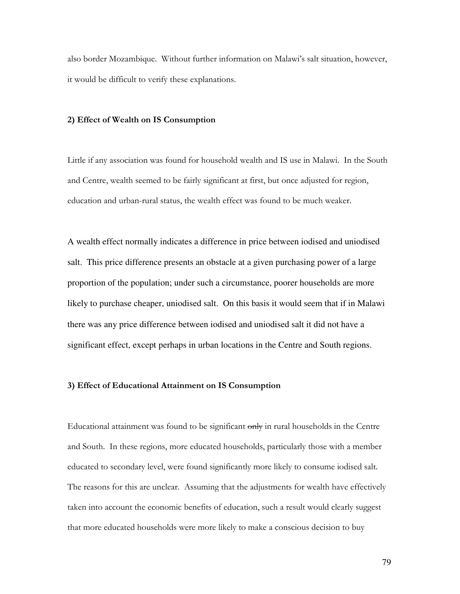also border Mozambique. Without further information on Malawi's salt situation, however, it would be difficult to verify these explanations.

## 2) Effect of Wealth on IS Consumption

Little if any association was found for household wealth and IS use in Malawi. In the South and Centre, wealth seemed to be fairly significant at first, but once adjusted for region, education and urban-rural status, the wealth effect was found to be much weaker.

A wealth effect normally indicates a difference in price between iodised and uniodised salt. This price difference presents an obstacle at a given purchasing power of a large proportion of the population; under such a circumstance, poorer households are more likely to purchase cheaper, uniodised salt. On this basis it would seem that if in Malawi there was any price difference between iodised and uniodised salt it did not have a significant effect, except perhaps in urban locations in the Centre and South regions.

### 3) Effect of Educational Attainment on IS Consumption

Educational attainment was found to be significant only in rural households in the Centre and South. In these regions, more educated households, particularly those with a member educated to secondary level, were found significantly more likely to consume iodised salt. The reasons for this are unclear. Assuming that the adjustments for wealth have effectively taken into account the economic benefits of education, such a result would clearly suggest that more educated households were more likely to make a conscious decision to buy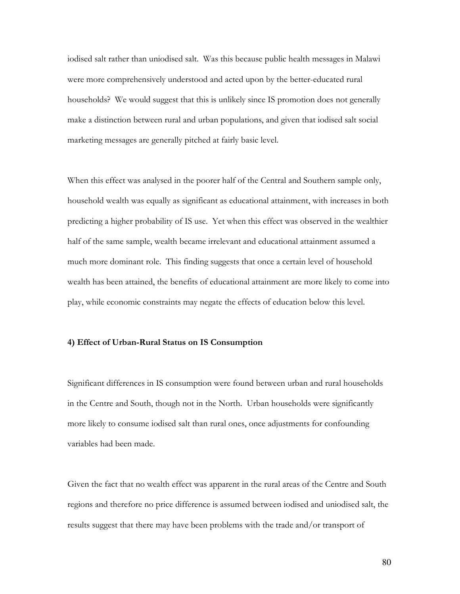iodised salt rather than uniodised salt. Was this because public health messages in Malawi were more comprehensively understood and acted upon by the better-educated rural households? We would suggest that this is unlikely since IS promotion does not generally make a distinction between rural and urban populations, and given that iodised salt social marketing messages are generally pitched at fairly basic level.

When this effect was analysed in the poorer half of the Central and Southern sample only, household wealth was equally as significant as educational attainment, with increases in both predicting a higher probability of IS use. Yet when this effect was observed in the wealthier half of the same sample, wealth became irrelevant and educational attainment assumed a much more dominant role. This finding suggests that once a certain level of household wealth has been attained, the benefits of educational attainment are more likely to come into play, while economic constraints may negate the effects of education below this level.

### 4) Effect of Urban-Rural Status on IS Consumption

Significant differences in IS consumption were found between urban and rural households in the Centre and South, though not in the North. Urban households were significantly more likely to consume iodised salt than rural ones, once adjustments for confounding variables had been made.

Given the fact that no wealth effect was apparent in the rural areas of the Centre and South regions and therefore no price difference is assumed between iodised and uniodised salt, the results suggest that there may have been problems with the trade and/or transport of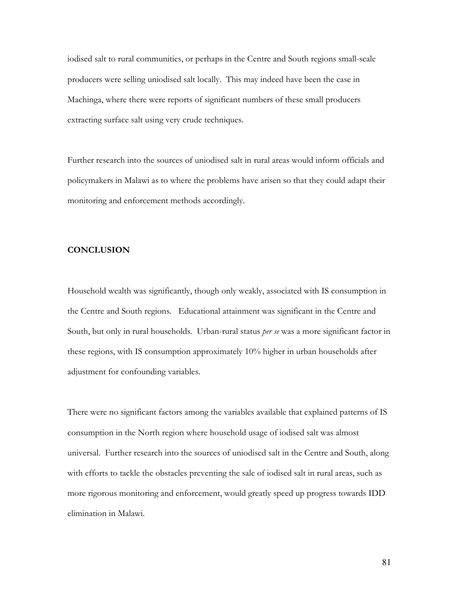iodised salt to rural communities, or perhaps in the Centre and South regions small-scale producers were selling uniodised salt locally. This may indeed have been the case in Machinga, where there were reports of significant numbers of these small producers extracting surface salt using very crude techniques.

Further research into the sources of uniodised salt in rural areas would inform officials and policymakers in Malawi as to where the problems have arisen so that they could adapt their monitoring and enforcement methods accordingly.

# **CONCLUSION**

Household wealth was significantly, though only weakly, associated with IS consumption in the Centre and South regions. Educational attainment was significant in the Centre and South, but only in rural households. Urban-rural status per se was a more significant factor in these regions, with IS consumption approximately 10% higher in urban households after adjustment for confounding variables.

There were no significant factors among the variables available that explained patterns of IS consumption in the North region where household usage of iodised salt was almost universal. Further research into the sources of uniodised salt in the Centre and South, along with efforts to tackle the obstacles preventing the sale of iodised salt in rural areas, such as more rigorous monitoring and enforcement, would greatly speed up progress towards IDD elimination in Malawi.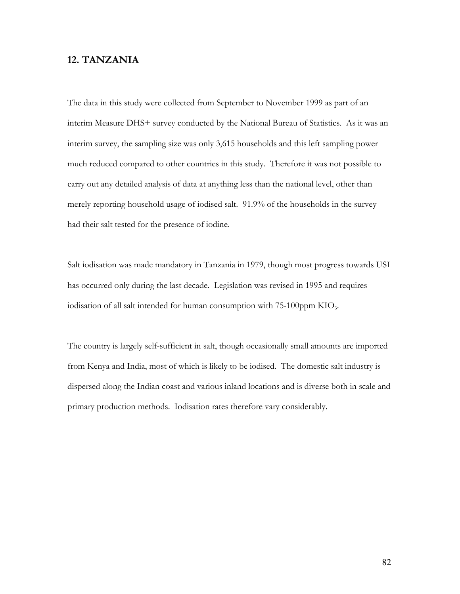# 12. TANZANIA

The data in this study were collected from September to November 1999 as part of an interim Measure DHS+ survey conducted by the National Bureau of Statistics. As it was an interim survey, the sampling size was only 3,615 households and this left sampling power much reduced compared to other countries in this study. Therefore it was not possible to carry out any detailed analysis of data at anything less than the national level, other than merely reporting household usage of iodised salt. 91.9% of the households in the survey had their salt tested for the presence of iodine.

Salt iodisation was made mandatory in Tanzania in 1979, though most progress towards USI has occurred only during the last decade. Legislation was revised in 1995 and requires iodisation of all salt intended for human consumption with 75-100ppm KIO<sub>3</sub>.

The country is largely self-sufficient in salt, though occasionally small amounts are imported from Kenya and India, most of which is likely to be iodised. The domestic salt industry is dispersed along the Indian coast and various inland locations and is diverse both in scale and primary production methods. Iodisation rates therefore vary considerably.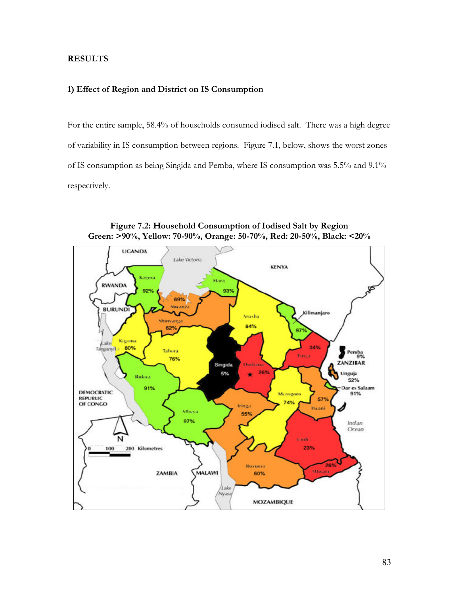# **RESULTS**

## 1) Effect of Region and District on IS Consumption

For the entire sample, 58.4% of households consumed iodised salt. There was a high degree of variability in IS consumption between regions. Figure 7.1, below, shows the worst zones of IS consumption as being Singida and Pemba, where IS consumption was 5.5% and 9.1% respectively.



Figure 7.2: Household Consumption of Iodised Salt by Region Green: >90%, Yellow: 70-90%, Orange: 50-70%, Red: 20-50%, Black: <20%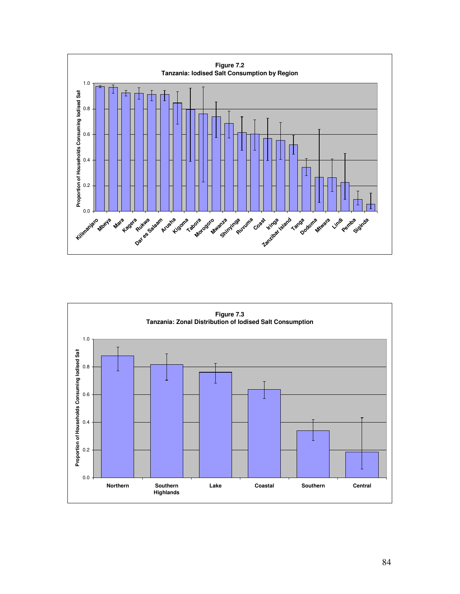

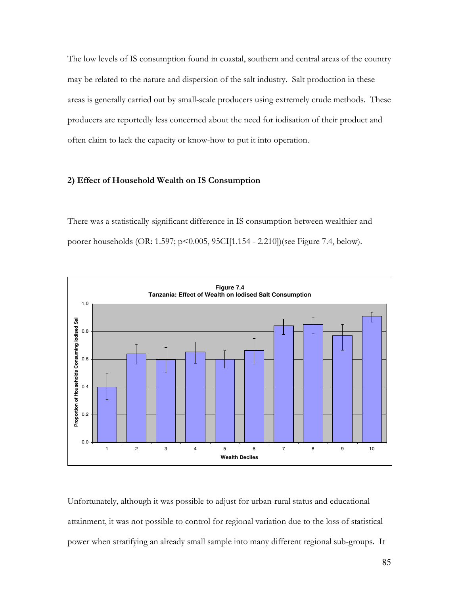The low levels of IS consumption found in coastal, southern and central areas of the country may be related to the nature and dispersion of the salt industry. Salt production in these areas is generally carried out by small-scale producers using extremely crude methods. These producers are reportedly less concerned about the need for iodisation of their product and often claim to lack the capacity or know-how to put it into operation.

#### 2) Effect of Household Wealth on IS Consumption

There was a statistically-significant difference in IS consumption between wealthier and poorer households (OR: 1.597; p<0.005, 95CI[1.154 - 2.210])(see Figure 7.4, below).



Unfortunately, although it was possible to adjust for urban-rural status and educational attainment, it was not possible to control for regional variation due to the loss of statistical power when stratifying an already small sample into many different regional sub-groups. It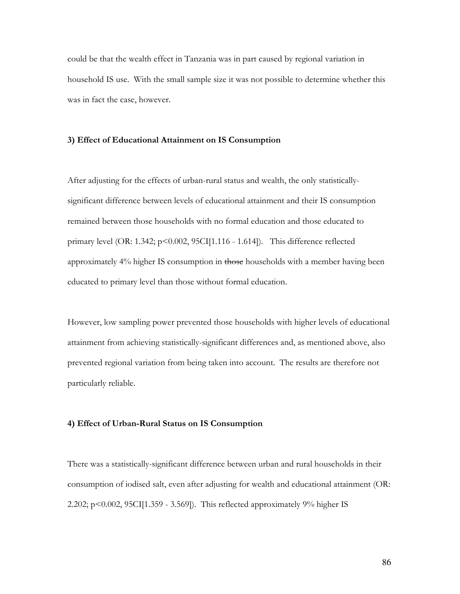could be that the wealth effect in Tanzania was in part caused by regional variation in household IS use. With the small sample size it was not possible to determine whether this was in fact the case, however.

### 3) Effect of Educational Attainment on IS Consumption

After adjusting for the effects of urban-rural status and wealth, the only statisticallysignificant difference between levels of educational attainment and their IS consumption remained between those households with no formal education and those educated to primary level (OR: 1.342;  $p<0.002$ , 95CI[1.116 - 1.614]). This difference reflected approximately 4% higher IS consumption in those households with a member having been educated to primary level than those without formal education.

However, low sampling power prevented those households with higher levels of educational attainment from achieving statistically-significant differences and, as mentioned above, also prevented regional variation from being taken into account. The results are therefore not particularly reliable.

#### 4) Effect of Urban-Rural Status on IS Consumption

There was a statistically-significant difference between urban and rural households in their consumption of iodised salt, even after adjusting for wealth and educational attainment (OR: 2.202;  $p<0.002$ ,  $95CI[1.359 - 3.569]$ . This reflected approximately  $9\%$  higher IS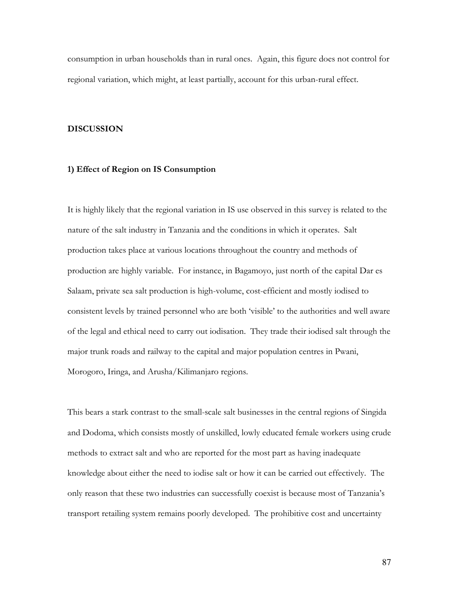consumption in urban households than in rural ones. Again, this figure does not control for regional variation, which might, at least partially, account for this urban-rural effect.

#### **DISCUSSION**

# 1) Effect of Region on IS Consumption

It is highly likely that the regional variation in IS use observed in this survey is related to the nature of the salt industry in Tanzania and the conditions in which it operates. Salt production takes place at various locations throughout the country and methods of production are highly variable. For instance, in Bagamoyo, just north of the capital Dar es Salaam, private sea salt production is high-volume, cost-efficient and mostly iodised to consistent levels by trained personnel who are both 'visible' to the authorities and well aware of the legal and ethical need to carry out iodisation. They trade their iodised salt through the major trunk roads and railway to the capital and major population centres in Pwani, Morogoro, Iringa, and Arusha/Kilimanjaro regions.

This bears a stark contrast to the small-scale salt businesses in the central regions of Singida and Dodoma, which consists mostly of unskilled, lowly educated female workers using crude methods to extract salt and who are reported for the most part as having inadequate knowledge about either the need to iodise salt or how it can be carried out effectively. The only reason that these two industries can successfully coexist is because most of Tanzania's transport retailing system remains poorly developed. The prohibitive cost and uncertainty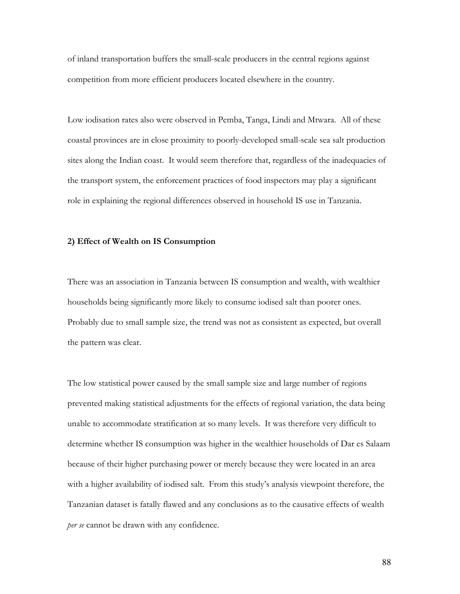of inland transportation buffers the small-scale producers in the central regions against competition from more efficient producers located elsewhere in the country.

Low iodisation rates also were observed in Pemba, Tanga, Lindi and Mtwara. All of these coastal provinces are in close proximity to poorly-developed small-scale sea salt production sites along the Indian coast. It would seem therefore that, regardless of the inadequacies of the transport system, the enforcement practices of food inspectors may play a significant role in explaining the regional differences observed in household IS use in Tanzania.

#### 2) Effect of Wealth on IS Consumption

There was an association in Tanzania between IS consumption and wealth, with wealthier households being significantly more likely to consume iodised salt than poorer ones. Probably due to small sample size, the trend was not as consistent as expected, but overall the pattern was clear.

The low statistical power caused by the small sample size and large number of regions prevented making statistical adjustments for the effects of regional variation, the data being unable to accommodate stratification at so many levels. It was therefore very difficult to determine whether IS consumption was higher in the wealthier households of Dar es Salaam because of their higher purchasing power or merely because they were located in an area with a higher availability of iodised salt. From this study's analysis viewpoint therefore, the Tanzanian dataset is fatally flawed and any conclusions as to the causative effects of wealth per se cannot be drawn with any confidence.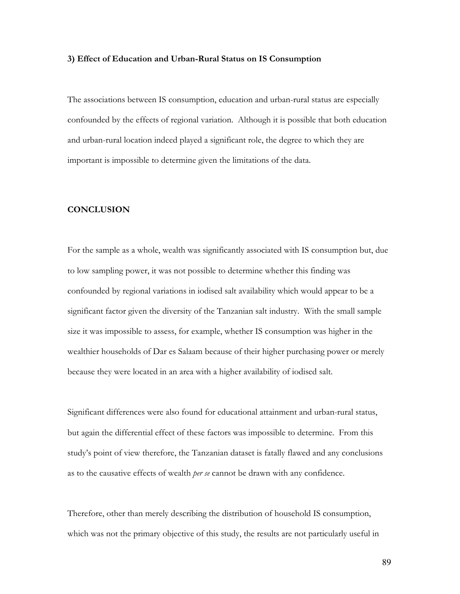#### 3) Effect of Education and Urban-Rural Status on IS Consumption

The associations between IS consumption, education and urban-rural status are especially confounded by the effects of regional variation. Although it is possible that both education and urban-rural location indeed played a significant role, the degree to which they are important is impossible to determine given the limitations of the data.

## **CONCLUSION**

For the sample as a whole, wealth was significantly associated with IS consumption but, due to low sampling power, it was not possible to determine whether this finding was confounded by regional variations in iodised salt availability which would appear to be a significant factor given the diversity of the Tanzanian salt industry. With the small sample size it was impossible to assess, for example, whether IS consumption was higher in the wealthier households of Dar es Salaam because of their higher purchasing power or merely because they were located in an area with a higher availability of iodised salt.

Significant differences were also found for educational attainment and urban-rural status, but again the differential effect of these factors was impossible to determine. From this study's point of view therefore, the Tanzanian dataset is fatally flawed and any conclusions as to the causative effects of wealth *per se* cannot be drawn with any confidence.

Therefore, other than merely describing the distribution of household IS consumption, which was not the primary objective of this study, the results are not particularly useful in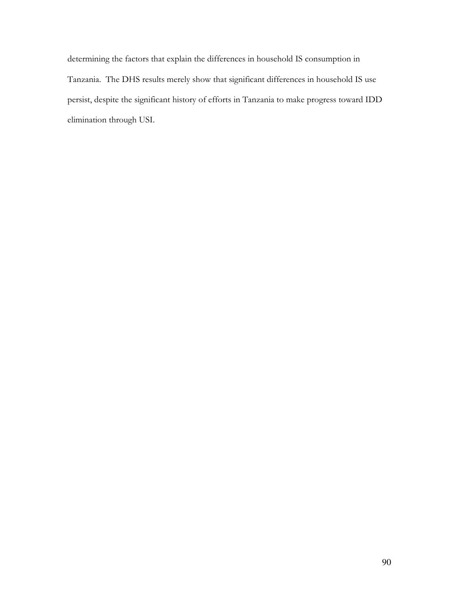determining the factors that explain the differences in household IS consumption in Tanzania. The DHS results merely show that significant differences in household IS use persist, despite the significant history of efforts in Tanzania to make progress toward IDD elimination through USI.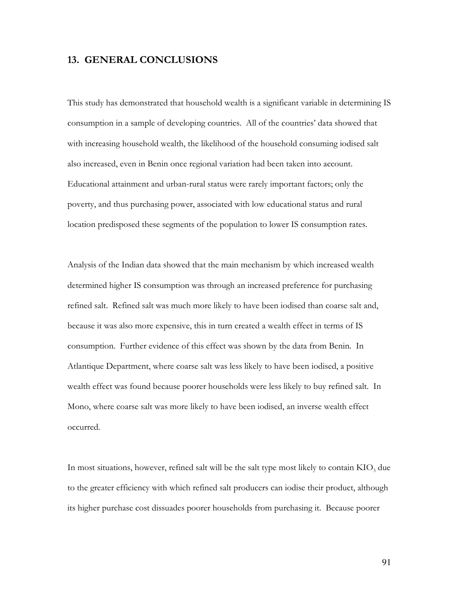# **13. GENERAL CONCLUSIONS**

This study has demonstrated that household wealth is a significant variable in determining IS consumption in a sample of developing countries. All of the countries' data showed that with increasing household wealth, the likelihood of the household consuming iodised salt also increased, even in Benin once regional variation had been taken into account. Educational attainment and urban-rural status were rarely important factors; only the poverty, and thus purchasing power, associated with low educational status and rural location predisposed these segments of the population to lower IS consumption rates.

Analysis of the Indian data showed that the main mechanism by which increased wealth determined higher IS consumption was through an increased preference for purchasing refined salt. Refined salt was much more likely to have been iodised than coarse salt and, because it was also more expensive, this in turn created a wealth effect in terms of IS consumption. Further evidence of this effect was shown by the data from Benin. In Atlantique Department, where coarse salt was less likely to have been iodised, a positive wealth effect was found because poorer households were less likely to buy refined salt. In Mono, where coarse salt was more likely to have been iodised, an inverse wealth effect occurred.

In most situations, however, refined salt will be the salt type most likely to contain  $KIO_3$  due to the greater efficiency with which refined salt producers can iodise their product, although its higher purchase cost dissuades poorer households from purchasing it. Because poorer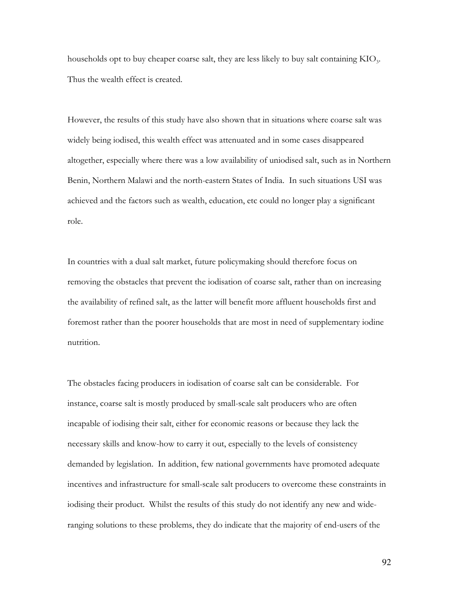households opt to buy cheaper coarse salt, they are less likely to buy salt containing KIO<sub>3</sub>. Thus the wealth effect is created.

However, the results of this study have also shown that in situations where coarse salt was widely being iodised, this wealth effect was attenuated and in some cases disappeared altogether, especially where there was a low availability of uniodised salt, such as in Northern Benin, Northern Malawi and the north-eastern States of India. In such situations USI was achieved and the factors such as wealth, education, etc could no longer play a significant role.

In countries with a dual salt market, future policymaking should therefore focus on removing the obstacles that prevent the iodisation of coarse salt, rather than on increasing the availability of refined salt, as the latter will benefit more affluent households first and foremost rather than the poorer households that are most in need of supplementary iodine nutrition.

The obstacles facing producers in iodisation of coarse salt can be considerable. For instance, coarse salt is mostly produced by small-scale salt producers who are often incapable of iodising their salt, either for economic reasons or because they lack the necessary skills and know-how to carry it out, especially to the levels of consistency demanded by legislation. In addition, few national governments have promoted adequate incentives and infrastructure for small-scale salt producers to overcome these constraints in iodising their product. Whilst the results of this study do not identify any new and wideranging solutions to these problems, they do indicate that the majority of end-users of the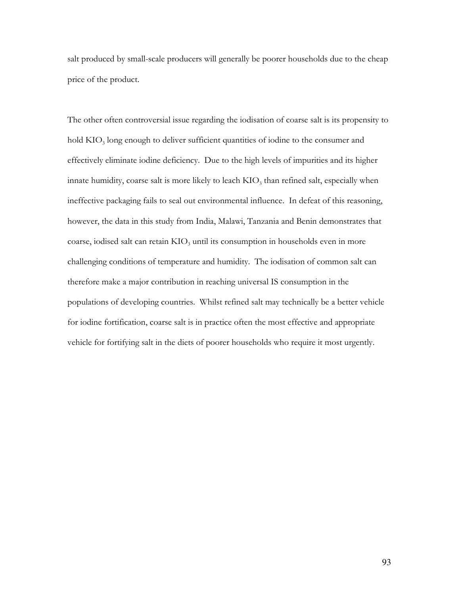salt produced by small-scale producers will generally be poorer households due to the cheap price of the product.

The other often controversial issue regarding the iodisation of coarse salt is its propensity to hold KIO<sub>3</sub> long enough to deliver sufficient quantities of iodine to the consumer and effectively eliminate iodine deficiency. Due to the high levels of impurities and its higher innate humidity, coarse salt is more likely to leach KIO<sub>3</sub> than refined salt, especially when ineffective packaging fails to seal out environmental influence. In defeat of this reasoning, however, the data in this study from India, Malawi, Tanzania and Benin demonstrates that coarse, iodised salt can retain KIO<sub>3</sub> until its consumption in households even in more challenging conditions of temperature and humidity. The iodisation of common salt can therefore make a major contribution in reaching universal IS consumption in the populations of developing countries. Whilst refined salt may technically be a better vehicle for iodine fortification, coarse salt is in practice often the most effective and appropriate vehicle for fortifying salt in the diets of poorer households who require it most urgently.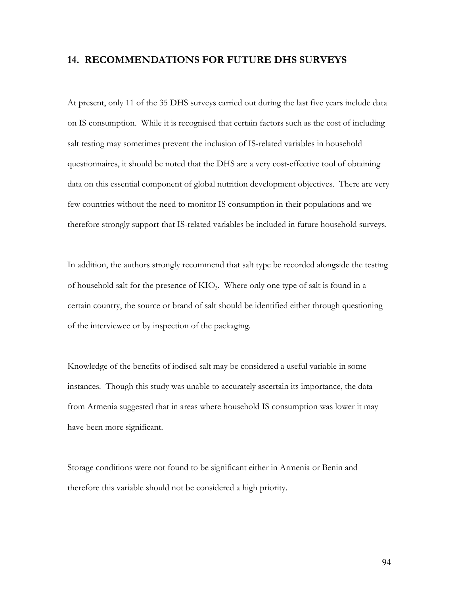# **14. RECOMMENDATIONS FOR FUTURE DHS SURVEYS**

At present, only 11 of the 35 DHS surveys carried out during the last five years include data on IS consumption. While it is recognised that certain factors such as the cost of including salt testing may sometimes prevent the inclusion of IS-related variables in household questionnaires, it should be noted that the DHS are a very cost-effective tool of obtaining data on this essential component of global nutrition development objectives. There are very few countries without the need to monitor IS consumption in their populations and we therefore strongly support that IS-related variables be included in future household surveys.

In addition, the authors strongly recommend that salt type be recorded alongside the testing of household salt for the presence of  $KIO_3$ . Where only one type of salt is found in a certain country, the source or brand of salt should be identified either through questioning of the interviewee or by inspection of the packaging.

Knowledge of the benefits of iodised salt may be considered a useful variable in some instances. Though this study was unable to accurately ascertain its importance, the data from Armenia suggested that in areas where household IS consumption was lower it may have been more significant.

Storage conditions were not found to be significant either in Armenia or Benin and therefore this variable should not be considered a high priority.